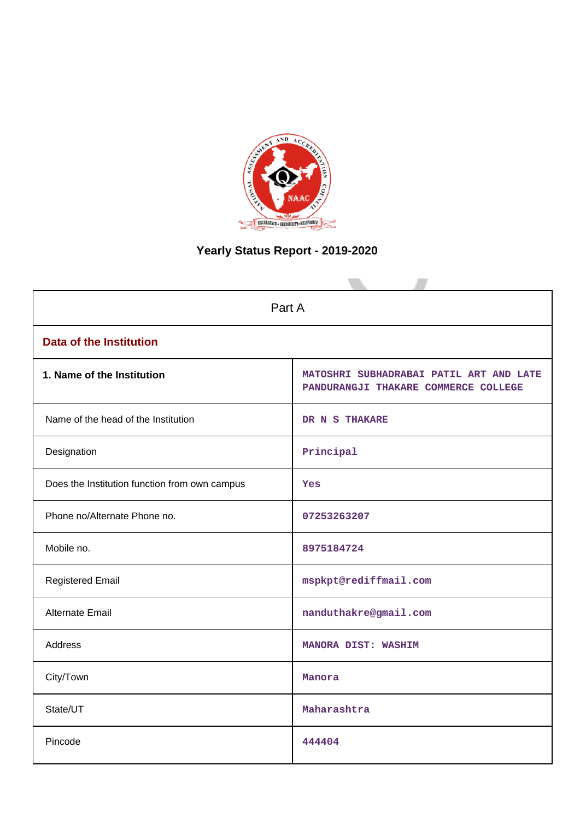

# **Yearly Status Report - 2019-2020**

| Part A                                        |                                                                                 |  |  |  |
|-----------------------------------------------|---------------------------------------------------------------------------------|--|--|--|
| <b>Data of the Institution</b>                |                                                                                 |  |  |  |
| 1. Name of the Institution                    | MATOSHRI SUBHADRABAI PATIL ART AND LATE<br>PANDURANGJI THAKARE COMMERCE COLLEGE |  |  |  |
| Name of the head of the Institution           | DR N S THAKARE                                                                  |  |  |  |
| Designation                                   | Principal                                                                       |  |  |  |
| Does the Institution function from own campus | Yes                                                                             |  |  |  |
| Phone no/Alternate Phone no.                  | 07253263207                                                                     |  |  |  |
| Mobile no.                                    | 8975184724                                                                      |  |  |  |
| <b>Registered Email</b>                       | mspkpt@rediffmail.com                                                           |  |  |  |
| Alternate Email                               | nanduthakre@gmail.com                                                           |  |  |  |
| <b>Address</b>                                | MANORA DIST: WASHIM                                                             |  |  |  |
| City/Town                                     | Manora                                                                          |  |  |  |
| State/UT                                      | Maharashtra                                                                     |  |  |  |
| Pincode                                       | 444404                                                                          |  |  |  |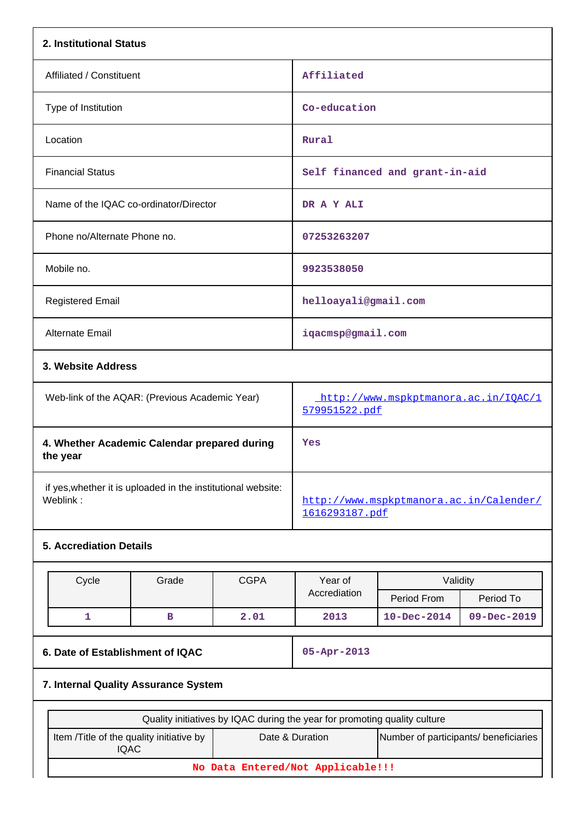| 2. Institutional Status                                                  |                                      |             |                                                                           |                                |             |  |
|--------------------------------------------------------------------------|--------------------------------------|-------------|---------------------------------------------------------------------------|--------------------------------|-------------|--|
| Affiliated / Constituent                                                 |                                      |             | Affiliated                                                                |                                |             |  |
| Type of Institution                                                      |                                      |             | Co-education                                                              |                                |             |  |
| Location                                                                 |                                      |             | Rural                                                                     |                                |             |  |
| <b>Financial Status</b>                                                  |                                      |             |                                                                           | Self financed and grant-in-aid |             |  |
| Name of the IQAC co-ordinator/Director                                   |                                      |             | DR A Y ALI                                                                |                                |             |  |
| Phone no/Alternate Phone no.                                             |                                      |             | 07253263207                                                               |                                |             |  |
| Mobile no.                                                               |                                      |             | 9923538050                                                                |                                |             |  |
| <b>Registered Email</b>                                                  |                                      |             | helloayali@gmail.com                                                      |                                |             |  |
| <b>Alternate Email</b>                                                   |                                      |             | iqacmsp@gmail.com                                                         |                                |             |  |
| 3. Website Address                                                       |                                      |             |                                                                           |                                |             |  |
| Web-link of the AQAR: (Previous Academic Year)                           |                                      |             | http://www.mspkptmanora.ac.in/IQAC/1<br>579951522.pdf                     |                                |             |  |
| 4. Whether Academic Calendar prepared during<br>the year                 |                                      |             | Yes                                                                       |                                |             |  |
| if yes, whether it is uploaded in the institutional website:<br>Weblink: |                                      |             | http://www.mspkptmanora.ac.in/Calender/<br>1616293187.pdf                 |                                |             |  |
| <b>5. Accrediation Details</b>                                           |                                      |             |                                                                           |                                |             |  |
| Cycle                                                                    | Grade                                | <b>CGPA</b> | Year of<br>Validity                                                       |                                |             |  |
|                                                                          |                                      |             | Accrediation                                                              | Period From                    | Period To   |  |
| $\mathbf{1}$                                                             | $\, {\bf B}$                         | 2.01        | 2013                                                                      | $10 - Dec - 2014$              | 09-Dec-2019 |  |
| 6. Date of Establishment of IQAC                                         |                                      |             | 05-Apr-2013                                                               |                                |             |  |
|                                                                          | 7. Internal Quality Assurance System |             |                                                                           |                                |             |  |
|                                                                          |                                      |             | Quality initiatives by IQAC during the year for promoting quality culture |                                |             |  |
| Item /Title of the quality initiative by<br><b>IQAC</b>                  |                                      |             | Date & Duration<br>Number of participants/ beneficiaries                  |                                |             |  |

**No Data Entered/Not Applicable!!!**

 $\vert$ 

 $\overline{\phantom{a}}$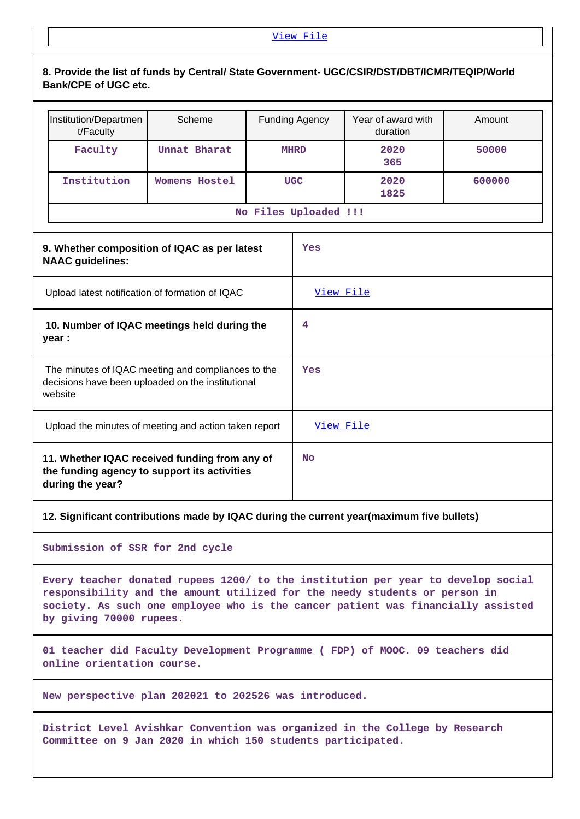# **8. Provide the list of funds by Central/ State Government- UGC/CSIR/DST/DBT/ICMR/TEQIP/World Bank/CPE of UGC etc.**

| Institution/Departmen<br>t/Faculty | Scheme        | <b>Funding Agency</b> | Year of award with<br>duration | Amount |  |  |
|------------------------------------|---------------|-----------------------|--------------------------------|--------|--|--|
| Faculty                            | Unnat Bharat  | <b>MHRD</b>           | 2020<br>365                    | 50000  |  |  |
| Institution                        | Womens Hostel | <b>UGC</b>            | 2020<br>1825                   | 600000 |  |  |
| No Files Uploaded !!!              |               |                       |                                |        |  |  |

| 9. Whether composition of IQAC as per latest<br><b>NAAC</b> guidelines:                                            | Yes              |
|--------------------------------------------------------------------------------------------------------------------|------------------|
| Upload latest notification of formation of IQAC                                                                    | <u>View File</u> |
| 10. Number of IQAC meetings held during the<br>year :                                                              | 4                |
| The minutes of IQAC meeting and compliances to the<br>decisions have been uploaded on the institutional<br>website | Yes              |
| Upload the minutes of meeting and action taken report                                                              | <u>View File</u> |
| 11. Whether IQAC received funding from any of<br>the funding agency to support its activities<br>during the year?  | <b>No</b>        |

# **12. Significant contributions made by IQAC during the current year(maximum five bullets)**

**Submission of SSR for 2nd cycle**

**Every teacher donated rupees 1200/ to the institution per year to develop social responsibility and the amount utilized for the needy students or person in society. As such one employee who is the cancer patient was financially assisted by giving 70000 rupees.**

**01 teacher did Faculty Development Programme ( FDP) of MOOC. 09 teachers did online orientation course.**

**New perspective plan 202021 to 202526 was introduced.**

**District Level Avishkar Convention was organized in the College by Research Committee on 9 Jan 2020 in which 150 students participated.**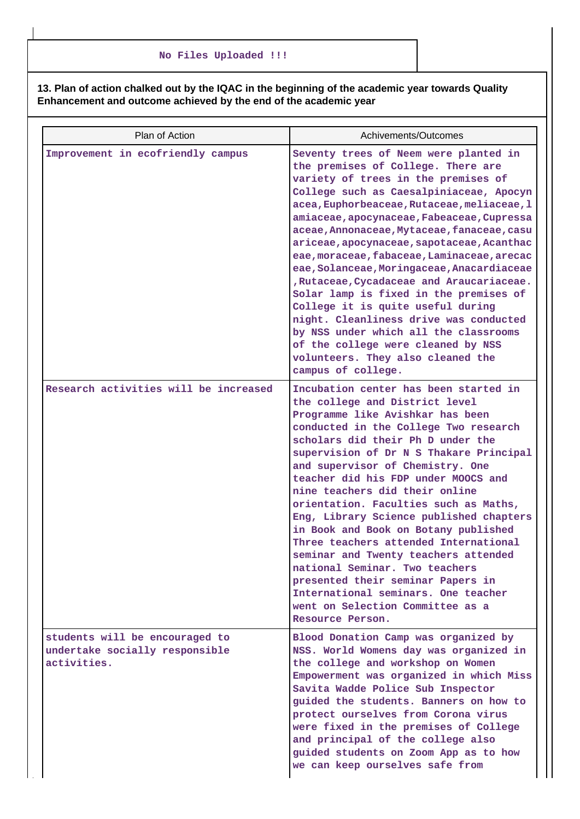**13. Plan of action chalked out by the IQAC in the beginning of the academic year towards Quality Enhancement and outcome achieved by the end of the academic year**

| Plan of Action                                                                  | Achivements/Outcomes                                                                                                                                                                                                                                                                                                                                                                                                                                                                                                                                                                                                                                                                                                                                                 |
|---------------------------------------------------------------------------------|----------------------------------------------------------------------------------------------------------------------------------------------------------------------------------------------------------------------------------------------------------------------------------------------------------------------------------------------------------------------------------------------------------------------------------------------------------------------------------------------------------------------------------------------------------------------------------------------------------------------------------------------------------------------------------------------------------------------------------------------------------------------|
| Improvement in ecofriendly campus                                               | Seventy trees of Neem were planted in<br>the premises of College. There are<br>variety of trees in the premises of<br>College such as Caesalpiniaceae, Apocyn<br>acea, Euphorbeaceae, Rutaceae, meliaceae, l<br>amiaceae, apocynaceae, Fabeaceae, Cupressa<br>aceae, Annonaceae, Mytaceae, fanaceae, casu<br>ariceae, apocynaceae, sapotaceae, Acanthac<br>eae, moraceae, fabaceae, Laminaceae, arecac<br>eae, Solanceae, Moringaceae, Anacardiaceae<br>, Rutaceae, Cycadaceae and Araucariaceae.<br>Solar lamp is fixed in the premises of<br>College it is quite useful during<br>night. Cleanliness drive was conducted<br>by NSS under which all the classrooms<br>of the college were cleaned by NSS<br>volunteers. They also cleaned the<br>campus of college. |
| Research activities will be increased                                           | Incubation center has been started in<br>the college and District level<br>Programme like Avishkar has been<br>conducted in the College Two research<br>scholars did their Ph D under the<br>supervision of Dr N S Thakare Principal<br>and supervisor of Chemistry. One<br>teacher did his FDP under MOOCS and<br>nine teachers did their online<br>orientation. Faculties such as Maths,<br>Eng, Library Science published chapters<br>in Book and Book on Botany published<br>Three teachers attended International<br>seminar and Twenty teachers attended<br>national Seminar. Two teachers<br>presented their seminar Papers in<br>International seminars. One teacher<br>went on Selection Committee as a<br>Resource Person.                                 |
| students will be encouraged to<br>undertake socially responsible<br>activities. | Blood Donation Camp was organized by<br>NSS. World Womens day was organized in<br>the college and workshop on Women<br>Empowerment was organized in which Miss<br>Savita Wadde Police Sub Inspector<br>guided the students. Banners on how to<br>protect ourselves from Corona virus<br>were fixed in the premises of College<br>and principal of the college also<br>guided students on Zoom App as to how<br>we can keep ourselves safe from                                                                                                                                                                                                                                                                                                                       |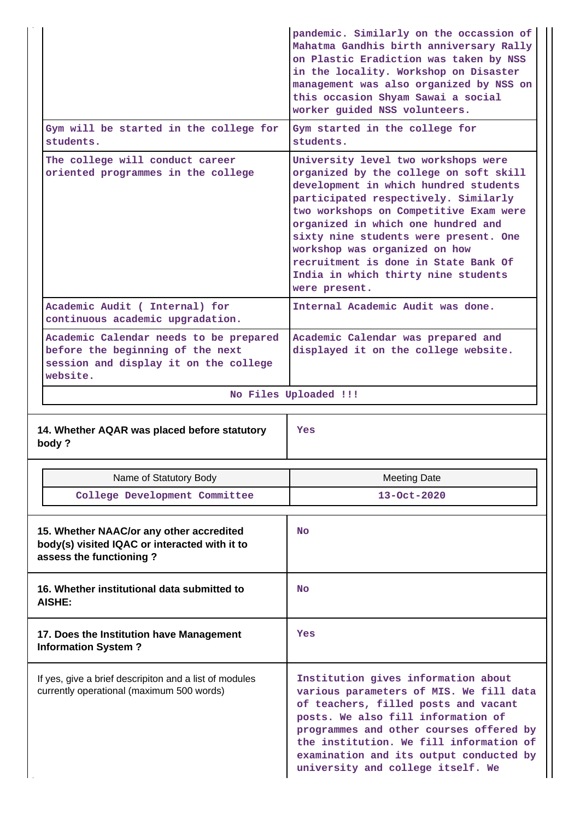|                                                                                                                                 | pandemic. Similarly on the occassion of<br>Mahatma Gandhis birth anniversary Rally<br>on Plastic Eradiction was taken by NSS<br>in the locality. Workshop on Disaster<br>management was also organized by NSS on<br>this occasion Shyam Sawai a social<br>worker guided NSS volunteers.                                                                                                                                  |
|---------------------------------------------------------------------------------------------------------------------------------|--------------------------------------------------------------------------------------------------------------------------------------------------------------------------------------------------------------------------------------------------------------------------------------------------------------------------------------------------------------------------------------------------------------------------|
| Gym will be started in the college for<br>students.                                                                             | Gym started in the college for<br>students.                                                                                                                                                                                                                                                                                                                                                                              |
| The college will conduct career<br>oriented programmes in the college                                                           | University level two workshops were<br>organized by the college on soft skill<br>development in which hundred students<br>participated respectively. Similarly<br>two workshops on Competitive Exam were<br>organized in which one hundred and<br>sixty nine students were present. One<br>workshop was organized on how<br>recruitment is done in State Bank Of<br>India in which thirty nine students<br>were present. |
| Academic Audit ( Internal) for<br>continuous academic upgradation.                                                              | Internal Academic Audit was done.                                                                                                                                                                                                                                                                                                                                                                                        |
| Academic Calendar needs to be prepared<br>before the beginning of the next<br>session and display it on the college<br>website. | Academic Calendar was prepared and<br>displayed it on the college website.                                                                                                                                                                                                                                                                                                                                               |
|                                                                                                                                 | No Files Uploaded !!!                                                                                                                                                                                                                                                                                                                                                                                                    |
|                                                                                                                                 |                                                                                                                                                                                                                                                                                                                                                                                                                          |
| 14. Whether AQAR was placed before statutory<br>body?                                                                           | <b>Yes</b>                                                                                                                                                                                                                                                                                                                                                                                                               |
|                                                                                                                                 |                                                                                                                                                                                                                                                                                                                                                                                                                          |
| Name of Statutory Body<br>College Development Committee                                                                         | <b>Meeting Date</b><br>13-Oct-2020                                                                                                                                                                                                                                                                                                                                                                                       |
| 15. Whether NAAC/or any other accredited<br>body(s) visited IQAC or interacted with it to<br>assess the functioning?            | <b>No</b>                                                                                                                                                                                                                                                                                                                                                                                                                |
| 16. Whether institutional data submitted to<br>AISHE:                                                                           | <b>No</b>                                                                                                                                                                                                                                                                                                                                                                                                                |
| 17. Does the Institution have Management<br><b>Information System?</b>                                                          | Yes                                                                                                                                                                                                                                                                                                                                                                                                                      |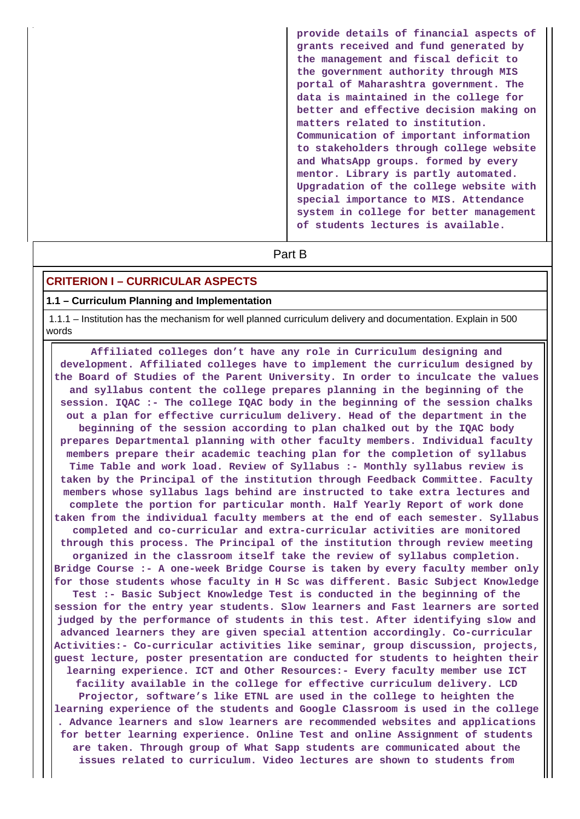**provide details of financial aspects of grants received and fund generated by the management and fiscal deficit to the government authority through MIS portal of Maharashtra government. The data is maintained in the college for better and effective decision making on matters related to institution. Communication of important information to stakeholders through college website and WhatsApp groups. formed by every mentor. Library is partly automated. Upgradation of the college website with special importance to MIS. Attendance system in college for better management of students lectures is available.**

# **Part B**

## **CRITERION I – CURRICULAR ASPECTS**

#### **1.1 – Curriculum Planning and Implementation**

 1.1.1 – Institution has the mechanism for well planned curriculum delivery and documentation. Explain in 500 words

 **Affiliated colleges don't have any role in Curriculum designing and development. Affiliated colleges have to implement the curriculum designed by the Board of Studies of the Parent University. In order to inculcate the values and syllabus content the college prepares planning in the beginning of the session. IQAC :- The college IQAC body in the beginning of the session chalks out a plan for effective curriculum delivery. Head of the department in the beginning of the session according to plan chalked out by the IQAC body prepares Departmental planning with other faculty members. Individual faculty members prepare their academic teaching plan for the completion of syllabus Time Table and work load. Review of Syllabus :- Monthly syllabus review is taken by the Principal of the institution through Feedback Committee. Faculty members whose syllabus lags behind are instructed to take extra lectures and complete the portion for particular month. Half Yearly Report of work done taken from the individual faculty members at the end of each semester. Syllabus completed and co-curricular and extra-curricular activities are monitored through this process. The Principal of the institution through review meeting organized in the classroom itself take the review of syllabus completion. Bridge Course :- A one-week Bridge Course is taken by every faculty member only for those students whose faculty in H Sc was different. Basic Subject Knowledge Test :- Basic Subject Knowledge Test is conducted in the beginning of the session for the entry year students. Slow learners and Fast learners are sorted judged by the performance of students in this test. After identifying slow and advanced learners they are given special attention accordingly. Co-curricular Activities:- Co-curricular activities like seminar, group discussion, projects, guest lecture, poster presentation are conducted for students to heighten their learning experience. ICT and Other Resources:- Every faculty member use ICT facility available in the college for effective curriculum delivery. LCD Projector, software's like ETNL are used in the college to heighten the learning experience of the students and Google Classroom is used in the college . Advance learners and slow learners are recommended websites and applications for better learning experience. Online Test and online Assignment of students are taken. Through group of What Sapp students are communicated about the issues related to curriculum. Video lectures are shown to students from**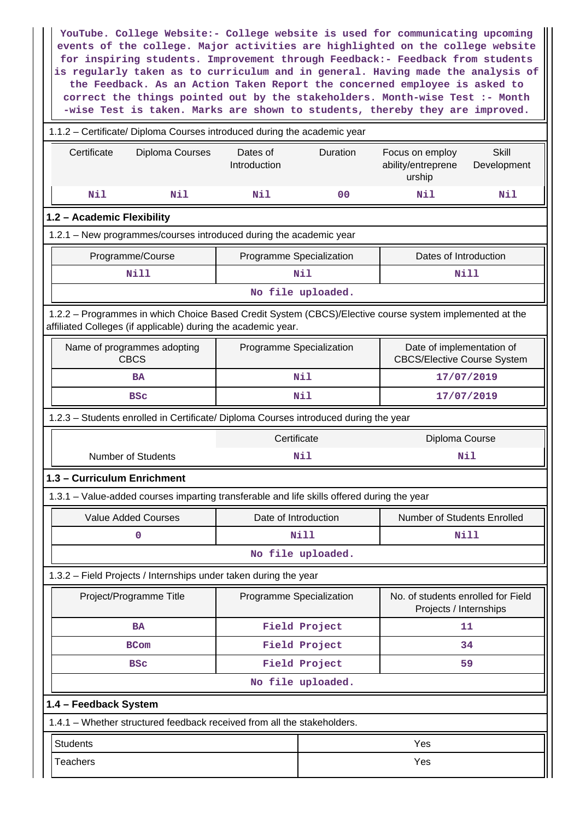**YouTube. College Website:- College website is used for communicating upcoming events of the college. Major activities are highlighted on the college website for inspiring students. Improvement through Feedback:- Feedback from students is regularly taken as to curriculum and in general. Having made the analysis of the Feedback. As an Action Taken Report the concerned employee is asked to correct the things pointed out by the stakeholders. Month-wise Test :- Month -wise Test is taken. Marks are shown to students, thereby they are improved.**

|                                                                                      | 1.1.2 - Certificate/ Diploma Courses introduced during the academic year                                                                                                 |                          |                   |                                                                 |                             |  |  |
|--------------------------------------------------------------------------------------|--------------------------------------------------------------------------------------------------------------------------------------------------------------------------|--------------------------|-------------------|-----------------------------------------------------------------|-----------------------------|--|--|
| Certificate                                                                          | Diploma Courses                                                                                                                                                          |                          | <b>Duration</b>   | Focus on employ<br>ability/entreprene<br>urship                 | <b>Skill</b><br>Development |  |  |
| Nil                                                                                  | Nil                                                                                                                                                                      | Nil                      | 00                | Nil                                                             | Nil                         |  |  |
| 1.2 - Academic Flexibility                                                           |                                                                                                                                                                          |                          |                   |                                                                 |                             |  |  |
|                                                                                      | 1.2.1 - New programmes/courses introduced during the academic year                                                                                                       |                          |                   |                                                                 |                             |  |  |
|                                                                                      | Programme/Course                                                                                                                                                         | Programme Specialization |                   | Dates of Introduction                                           |                             |  |  |
|                                                                                      | <b>Nill</b>                                                                                                                                                              |                          | Nil               |                                                                 | Nill                        |  |  |
| No file uploaded.                                                                    |                                                                                                                                                                          |                          |                   |                                                                 |                             |  |  |
|                                                                                      | 1.2.2 - Programmes in which Choice Based Credit System (CBCS)/Elective course system implemented at the<br>affiliated Colleges (if applicable) during the academic year. |                          |                   |                                                                 |                             |  |  |
|                                                                                      | Name of programmes adopting<br><b>CBCS</b>                                                                                                                               | Programme Specialization |                   | Date of implementation of<br><b>CBCS/Elective Course System</b> |                             |  |  |
|                                                                                      | <b>BA</b>                                                                                                                                                                | Nil                      |                   |                                                                 | 17/07/2019                  |  |  |
|                                                                                      | <b>BSC</b>                                                                                                                                                               |                          | Nil               |                                                                 | 17/07/2019                  |  |  |
| 1.2.3 - Students enrolled in Certificate/ Diploma Courses introduced during the year |                                                                                                                                                                          |                          |                   |                                                                 |                             |  |  |
|                                                                                      |                                                                                                                                                                          | Certificate              | Diploma Course    |                                                                 |                             |  |  |
|                                                                                      | <b>Number of Students</b>                                                                                                                                                |                          | Nil               | Nil                                                             |                             |  |  |
| 1.3 - Curriculum Enrichment                                                          |                                                                                                                                                                          |                          |                   |                                                                 |                             |  |  |
|                                                                                      | 1.3.1 – Value-added courses imparting transferable and life skills offered during the year                                                                               |                          |                   |                                                                 |                             |  |  |
|                                                                                      | <b>Value Added Courses</b>                                                                                                                                               | Date of Introduction     |                   | Number of Students Enrolled                                     |                             |  |  |
|                                                                                      | 0                                                                                                                                                                        |                          | Nill              | Nill                                                            |                             |  |  |
|                                                                                      |                                                                                                                                                                          |                          | No file uploaded. |                                                                 |                             |  |  |
|                                                                                      | 1.3.2 – Field Projects / Internships under taken during the year                                                                                                         |                          |                   |                                                                 |                             |  |  |
|                                                                                      | Project/Programme Title                                                                                                                                                  | Programme Specialization |                   | No. of students enrolled for Field<br>Projects / Internships    |                             |  |  |
|                                                                                      | <b>BA</b>                                                                                                                                                                |                          | Field Project     |                                                                 | 11                          |  |  |
|                                                                                      | <b>BCom</b>                                                                                                                                                              |                          | Field Project     |                                                                 | 34                          |  |  |
|                                                                                      | <b>BSC</b>                                                                                                                                                               |                          | Field Project     |                                                                 | 59                          |  |  |
|                                                                                      |                                                                                                                                                                          |                          | No file uploaded. |                                                                 |                             |  |  |
| 1.4 - Feedback System                                                                |                                                                                                                                                                          |                          |                   |                                                                 |                             |  |  |
|                                                                                      | 1.4.1 - Whether structured feedback received from all the stakeholders.                                                                                                  |                          |                   |                                                                 |                             |  |  |
| <b>Students</b>                                                                      |                                                                                                                                                                          |                          |                   | Yes                                                             |                             |  |  |
| <b>Teachers</b>                                                                      |                                                                                                                                                                          |                          | Yes               |                                                                 |                             |  |  |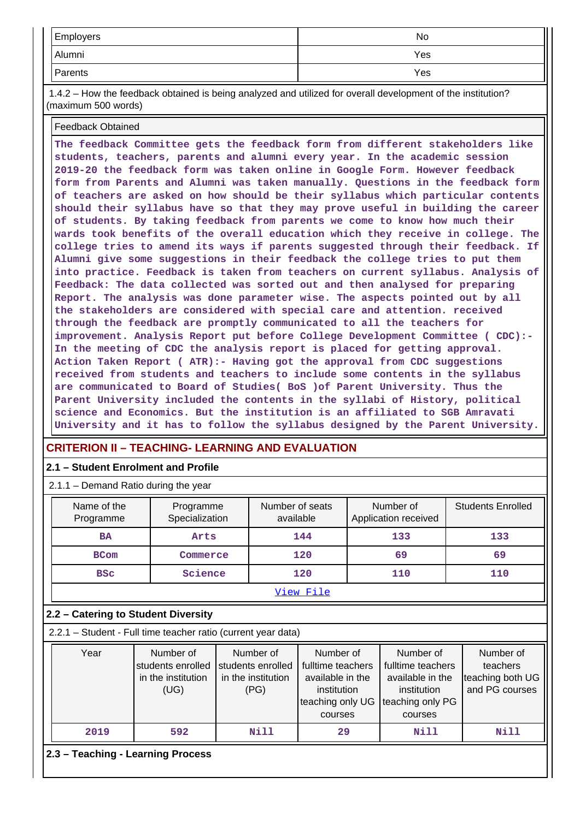| Employers | No  |
|-----------|-----|
| Alumni    | Yes |
| Parents   | Yes |

 1.4.2 – How the feedback obtained is being analyzed and utilized for overall development of the institution? (maximum 500 words)

## Feedback Obtained

**The feedback Committee gets the feedback form from different stakeholders like students, teachers, parents and alumni every year. In the academic session 2019-20 the feedback form was taken online in Google Form. However feedback form from Parents and Alumni was taken manually. Questions in the feedback form of teachers are asked on how should be their syllabus which particular contents should their syllabus have so that they may prove useful in building the career of students. By taking feedback from parents we come to know how much their wards took benefits of the overall education which they receive in college. The college tries to amend its ways if parents suggested through their feedback. If Alumni give some suggestions in their feedback the college tries to put them into practice. Feedback is taken from teachers on current syllabus. Analysis of Feedback: The data collected was sorted out and then analysed for preparing Report. The analysis was done parameter wise. The aspects pointed out by all the stakeholders are considered with special care and attention. received through the feedback are promptly communicated to all the teachers for improvement. Analysis Report put before College Development Committee ( CDC):- In the meeting of CDC the analysis report is placed for getting approval. Action Taken Report ( ATR):- Having got the approval from CDC suggestions received from students and teachers to include some contents in the syllabus are communicated to Board of Studies( BoS )of Parent University. Thus the Parent University included the contents in the syllabi of History, political science and Economics. But the institution is an affiliated to SGB Amravati University and it has to follow the syllabus designed by the Parent University.**

# **CRITERION II – TEACHING- LEARNING AND EVALUATION**

## **2.1 – Student Enrolment and Profile**

2.1.1 – Demand Ratio during the year

| <u>.</u>                                                      | Definance induction darning the year                         |                                                              |      |                                                                                                  |     |                                                                                                  |  |                                                             |
|---------------------------------------------------------------|--------------------------------------------------------------|--------------------------------------------------------------|------|--------------------------------------------------------------------------------------------------|-----|--------------------------------------------------------------------------------------------------|--|-------------------------------------------------------------|
| Name of the<br>Programme                                      |                                                              | Programme<br>Specialization                                  |      | Number of seats<br>available                                                                     |     | Number of<br>Application received                                                                |  | <b>Students Enrolled</b>                                    |
| <b>BA</b>                                                     |                                                              | Arts                                                         |      | 144                                                                                              | 133 |                                                                                                  |  | 133                                                         |
| <b>BCom</b>                                                   | Commerce                                                     |                                                              | 120  |                                                                                                  | 69  |                                                                                                  |  | 69                                                          |
| <b>BSC</b>                                                    | Science                                                      |                                                              |      | 120                                                                                              |     | 110                                                                                              |  | 110                                                         |
|                                                               |                                                              |                                                              |      | View File                                                                                        |     |                                                                                                  |  |                                                             |
| 2.2 - Catering to Student Diversity                           |                                                              |                                                              |      |                                                                                                  |     |                                                                                                  |  |                                                             |
| 2.2.1 - Student - Full time teacher ratio (current year data) |                                                              |                                                              |      |                                                                                                  |     |                                                                                                  |  |                                                             |
| Year                                                          | Number of<br>students enrolled<br>in the institution<br>(UG) | Number of<br>students enrolled<br>in the institution<br>(PG) |      | Number of<br>fulltime teachers<br>available in the<br>institution<br>teaching only UG<br>courses |     | Number of<br>fulltime teachers<br>available in the<br>institution<br>teaching only PG<br>courses |  | Number of<br>teachers<br>teaching both UG<br>and PG courses |
| 2019                                                          | 592                                                          |                                                              | Nill | 29                                                                                               |     | Nill                                                                                             |  | Nill                                                        |
| 2.3 - Teaching - Learning Process                             |                                                              |                                                              |      |                                                                                                  |     |                                                                                                  |  |                                                             |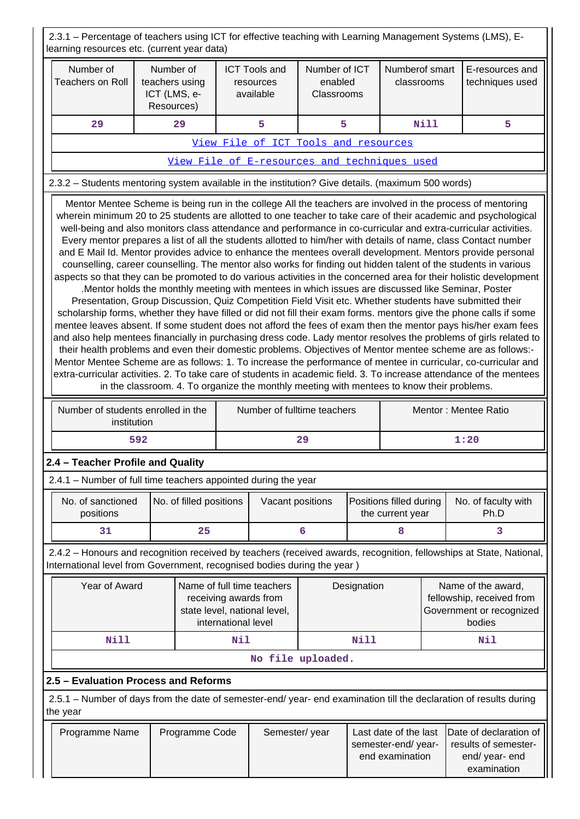2.3.1 – Percentage of teachers using ICT for effective teaching with Learning Management Systems (LMS), Elearning resources etc. (current year data)

| learning resources etc. (current year data)                                                                                                                                                                                                                                                                                                                                                                                                                                                                                                                                                                                                                                                                                                                                                                                                                                                                                                                                                                                                                                                                                                                                                                                                                                                                                                                                                                                                                                                                                                                                                                                                                                                                                                                                                                                                                                                                                                                      |                                                                                                                             |                         |     |                                                |                                        |             |                                                                |                                                                                       |                                                                                                                     |
|------------------------------------------------------------------------------------------------------------------------------------------------------------------------------------------------------------------------------------------------------------------------------------------------------------------------------------------------------------------------------------------------------------------------------------------------------------------------------------------------------------------------------------------------------------------------------------------------------------------------------------------------------------------------------------------------------------------------------------------------------------------------------------------------------------------------------------------------------------------------------------------------------------------------------------------------------------------------------------------------------------------------------------------------------------------------------------------------------------------------------------------------------------------------------------------------------------------------------------------------------------------------------------------------------------------------------------------------------------------------------------------------------------------------------------------------------------------------------------------------------------------------------------------------------------------------------------------------------------------------------------------------------------------------------------------------------------------------------------------------------------------------------------------------------------------------------------------------------------------------------------------------------------------------------------------------------------------|-----------------------------------------------------------------------------------------------------------------------------|-------------------------|-----|------------------------------------------------|----------------------------------------|-------------|----------------------------------------------------------------|---------------------------------------------------------------------------------------|---------------------------------------------------------------------------------------------------------------------|
| Number of<br><b>Teachers on Roll</b>                                                                                                                                                                                                                                                                                                                                                                                                                                                                                                                                                                                                                                                                                                                                                                                                                                                                                                                                                                                                                                                                                                                                                                                                                                                                                                                                                                                                                                                                                                                                                                                                                                                                                                                                                                                                                                                                                                                             | teachers using<br>ICT (LMS, e-<br>Resources)                                                                                | Number of               |     | <b>ICT Tools and</b><br>resources<br>available | Number of ICT<br>enabled<br>Classrooms |             | Numberof smart<br>classrooms                                   |                                                                                       | E-resources and<br>techniques used                                                                                  |
| 29                                                                                                                                                                                                                                                                                                                                                                                                                                                                                                                                                                                                                                                                                                                                                                                                                                                                                                                                                                                                                                                                                                                                                                                                                                                                                                                                                                                                                                                                                                                                                                                                                                                                                                                                                                                                                                                                                                                                                               |                                                                                                                             | 29                      |     | 5                                              | 5                                      |             |                                                                | <b>Nill</b>                                                                           | 5                                                                                                                   |
|                                                                                                                                                                                                                                                                                                                                                                                                                                                                                                                                                                                                                                                                                                                                                                                                                                                                                                                                                                                                                                                                                                                                                                                                                                                                                                                                                                                                                                                                                                                                                                                                                                                                                                                                                                                                                                                                                                                                                                  |                                                                                                                             |                         |     | View File of ICT Tools and resources           |                                        |             |                                                                |                                                                                       |                                                                                                                     |
|                                                                                                                                                                                                                                                                                                                                                                                                                                                                                                                                                                                                                                                                                                                                                                                                                                                                                                                                                                                                                                                                                                                                                                                                                                                                                                                                                                                                                                                                                                                                                                                                                                                                                                                                                                                                                                                                                                                                                                  |                                                                                                                             |                         |     | View File of E-resources and techniques used   |                                        |             |                                                                |                                                                                       |                                                                                                                     |
|                                                                                                                                                                                                                                                                                                                                                                                                                                                                                                                                                                                                                                                                                                                                                                                                                                                                                                                                                                                                                                                                                                                                                                                                                                                                                                                                                                                                                                                                                                                                                                                                                                                                                                                                                                                                                                                                                                                                                                  |                                                                                                                             |                         |     |                                                |                                        |             |                                                                |                                                                                       |                                                                                                                     |
| 2.3.2 - Students mentoring system available in the institution? Give details. (maximum 500 words)<br>Mentor Mentee Scheme is being run in the college All the teachers are involved in the process of mentoring<br>wherein minimum 20 to 25 students are allotted to one teacher to take care of their academic and psychological<br>well-being and also monitors class attendance and performance in co-curricular and extra-curricular activities.<br>Every mentor prepares a list of all the students allotted to him/her with details of name, class Contact number<br>and E Mail Id. Mentor provides advice to enhance the mentees overall development. Mentors provide personal<br>counselling, career counselling. The mentor also works for finding out hidden talent of the students in various<br>aspects so that they can be promoted to do various activities in the concerned area for their holistic development<br>.Mentor holds the monthly meeting with mentees in which issues are discussed like Seminar, Poster<br>Presentation, Group Discussion, Quiz Competition Field Visit etc. Whether students have submitted their<br>scholarship forms, whether they have filled or did not fill their exam forms. mentors give the phone calls if some<br>mentee leaves absent. If some student does not afford the fees of exam then the mentor pays his/her exam fees<br>and also help mentees financially in purchasing dress code. Lady mentor resolves the problems of girls related to<br>their health problems and even their domestic problems. Objectives of Mentor mentee scheme are as follows:-<br>Mentor Mentee Scheme are as follows: 1. To increase the performance of mentee in curricular, co-curricular and<br>extra-curricular activities. 2. To take care of students in academic field. 3. To increase attendance of the mentees<br>in the classroom. 4. To organize the monthly meeting with mentees to know their problems. |                                                                                                                             |                         |     |                                                |                                        |             |                                                                |                                                                                       |                                                                                                                     |
| Number of students enrolled in the<br>institution                                                                                                                                                                                                                                                                                                                                                                                                                                                                                                                                                                                                                                                                                                                                                                                                                                                                                                                                                                                                                                                                                                                                                                                                                                                                                                                                                                                                                                                                                                                                                                                                                                                                                                                                                                                                                                                                                                                |                                                                                                                             |                         |     | Number of fulltime teachers                    |                                        |             |                                                                |                                                                                       | Mentor: Mentee Ratio                                                                                                |
|                                                                                                                                                                                                                                                                                                                                                                                                                                                                                                                                                                                                                                                                                                                                                                                                                                                                                                                                                                                                                                                                                                                                                                                                                                                                                                                                                                                                                                                                                                                                                                                                                                                                                                                                                                                                                                                                                                                                                                  | 592                                                                                                                         |                         |     |                                                | 29                                     |             |                                                                |                                                                                       | 1:20                                                                                                                |
| 2.4 - Teacher Profile and Quality                                                                                                                                                                                                                                                                                                                                                                                                                                                                                                                                                                                                                                                                                                                                                                                                                                                                                                                                                                                                                                                                                                                                                                                                                                                                                                                                                                                                                                                                                                                                                                                                                                                                                                                                                                                                                                                                                                                                |                                                                                                                             |                         |     |                                                |                                        |             |                                                                |                                                                                       |                                                                                                                     |
| 2.4.1 – Number of full time teachers appointed during the year                                                                                                                                                                                                                                                                                                                                                                                                                                                                                                                                                                                                                                                                                                                                                                                                                                                                                                                                                                                                                                                                                                                                                                                                                                                                                                                                                                                                                                                                                                                                                                                                                                                                                                                                                                                                                                                                                                   |                                                                                                                             |                         |     |                                                |                                        |             |                                                                |                                                                                       |                                                                                                                     |
| No. of sanctioned<br>positions                                                                                                                                                                                                                                                                                                                                                                                                                                                                                                                                                                                                                                                                                                                                                                                                                                                                                                                                                                                                                                                                                                                                                                                                                                                                                                                                                                                                                                                                                                                                                                                                                                                                                                                                                                                                                                                                                                                                   |                                                                                                                             | No. of filled positions |     | Vacant positions                               |                                        |             | Positions filled during<br>the current year                    |                                                                                       | No. of faculty with<br>Ph.D                                                                                         |
| 31                                                                                                                                                                                                                                                                                                                                                                                                                                                                                                                                                                                                                                                                                                                                                                                                                                                                                                                                                                                                                                                                                                                                                                                                                                                                                                                                                                                                                                                                                                                                                                                                                                                                                                                                                                                                                                                                                                                                                               |                                                                                                                             | 25                      |     |                                                | 6                                      |             | 8                                                              |                                                                                       | 3                                                                                                                   |
| International level from Government, recognised bodies during the year )                                                                                                                                                                                                                                                                                                                                                                                                                                                                                                                                                                                                                                                                                                                                                                                                                                                                                                                                                                                                                                                                                                                                                                                                                                                                                                                                                                                                                                                                                                                                                                                                                                                                                                                                                                                                                                                                                         |                                                                                                                             |                         |     |                                                |                                        |             |                                                                |                                                                                       | 2.4.2 - Honours and recognition received by teachers (received awards, recognition, fellowships at State, National, |
|                                                                                                                                                                                                                                                                                                                                                                                                                                                                                                                                                                                                                                                                                                                                                                                                                                                                                                                                                                                                                                                                                                                                                                                                                                                                                                                                                                                                                                                                                                                                                                                                                                                                                                                                                                                                                                                                                                                                                                  | Year of Award<br>Name of full time teachers<br>receiving awards from<br>state level, national level,<br>international level |                         |     |                                                | Designation                            |             |                                                                | Name of the award,<br>fellowship, received from<br>Government or recognized<br>bodies |                                                                                                                     |
| <b>Nill</b>                                                                                                                                                                                                                                                                                                                                                                                                                                                                                                                                                                                                                                                                                                                                                                                                                                                                                                                                                                                                                                                                                                                                                                                                                                                                                                                                                                                                                                                                                                                                                                                                                                                                                                                                                                                                                                                                                                                                                      |                                                                                                                             |                         | Nil |                                                |                                        | <b>Nill</b> |                                                                |                                                                                       | Nil                                                                                                                 |
|                                                                                                                                                                                                                                                                                                                                                                                                                                                                                                                                                                                                                                                                                                                                                                                                                                                                                                                                                                                                                                                                                                                                                                                                                                                                                                                                                                                                                                                                                                                                                                                                                                                                                                                                                                                                                                                                                                                                                                  |                                                                                                                             |                         |     |                                                | No file uploaded.                      |             |                                                                |                                                                                       |                                                                                                                     |
| 2.5 - Evaluation Process and Reforms                                                                                                                                                                                                                                                                                                                                                                                                                                                                                                                                                                                                                                                                                                                                                                                                                                                                                                                                                                                                                                                                                                                                                                                                                                                                                                                                                                                                                                                                                                                                                                                                                                                                                                                                                                                                                                                                                                                             |                                                                                                                             |                         |     |                                                |                                        |             |                                                                |                                                                                       |                                                                                                                     |
| 2.5.1 – Number of days from the date of semester-end/ year- end examination till the declaration of results during<br>the year                                                                                                                                                                                                                                                                                                                                                                                                                                                                                                                                                                                                                                                                                                                                                                                                                                                                                                                                                                                                                                                                                                                                                                                                                                                                                                                                                                                                                                                                                                                                                                                                                                                                                                                                                                                                                                   |                                                                                                                             |                         |     |                                                |                                        |             |                                                                |                                                                                       |                                                                                                                     |
| Programme Name                                                                                                                                                                                                                                                                                                                                                                                                                                                                                                                                                                                                                                                                                                                                                                                                                                                                                                                                                                                                                                                                                                                                                                                                                                                                                                                                                                                                                                                                                                                                                                                                                                                                                                                                                                                                                                                                                                                                                   |                                                                                                                             | Programme Code          |     | Semester/year                                  |                                        |             | Last date of the last<br>semester-end/year-<br>end examination |                                                                                       | Date of declaration of<br>results of semester-<br>end/ year- end<br>examination                                     |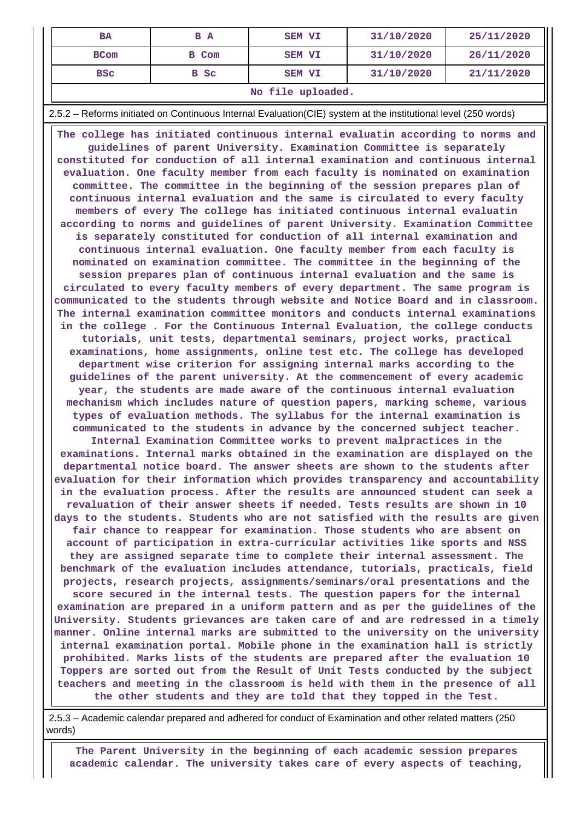| <b>BA</b>         | B A   | <b>SEM VI</b> | 31/10/2020 | 25/11/2020 |  |  |
|-------------------|-------|---------------|------------|------------|--|--|
| <b>BCom</b>       | B Com | <b>SEM VI</b> | 31/10/2020 | 26/11/2020 |  |  |
| <b>BSC</b>        | B Sc  | <b>SEM VI</b> | 31/10/2020 | 21/11/2020 |  |  |
| No file uploaded. |       |               |            |            |  |  |

2.5.2 – Reforms initiated on Continuous Internal Evaluation(CIE) system at the institutional level (250 words)

 **The college has initiated continuous internal evaluatin according to norms and guidelines of parent University. Examination Committee is separately constituted for conduction of all internal examination and continuous internal evaluation. One faculty member from each faculty is nominated on examination committee. The committee in the beginning of the session prepares plan of continuous internal evaluation and the same is circulated to every faculty members of every The college has initiated continuous internal evaluatin according to norms and guidelines of parent University. Examination Committee is separately constituted for conduction of all internal examination and continuous internal evaluation. One faculty member from each faculty is nominated on examination committee. The committee in the beginning of the session prepares plan of continuous internal evaluation and the same is circulated to every faculty members of every department. The same program is communicated to the students through website and Notice Board and in classroom. The internal examination committee monitors and conducts internal examinations in the college . For the Continuous Internal Evaluation, the college conducts tutorials, unit tests, departmental seminars, project works, practical examinations, home assignments, online test etc. The college has developed department wise criterion for assigning internal marks according to the guidelines of the parent university. At the commencement of every academic year, the students are made aware of the continuous internal evaluation mechanism which includes nature of question papers, marking scheme, various types of evaluation methods. The syllabus for the internal examination is communicated to the students in advance by the concerned subject teacher. Internal Examination Committee works to prevent malpractices in the examinations. Internal marks obtained in the examination are displayed on the departmental notice board. The answer sheets are shown to the students after evaluation for their information which provides transparency and accountability in the evaluation process. After the results are announced student can seek a revaluation of their answer sheets if needed. Tests results are shown in 10 days to the students. Students who are not satisfied with the results are given fair chance to reappear for examination. Those students who are absent on account of participation in extra-curricular activities like sports and NSS they are assigned separate time to complete their internal assessment. The benchmark of the evaluation includes attendance, tutorials, practicals, field projects, research projects, assignments/seminars/oral presentations and the score secured in the internal tests. The question papers for the internal examination are prepared in a uniform pattern and as per the guidelines of the University. Students grievances are taken care of and are redressed in a timely manner. Online internal marks are submitted to the university on the university internal examination portal. Mobile phone in the examination hall is strictly prohibited. Marks lists of the students are prepared after the evaluation 10 Toppers are sorted out from the Result of Unit Tests conducted by the subject teachers and meeting in the classroom is held with them in the presence of all the other students and they are told that they topped in the Test.**

 2.5.3 – Academic calendar prepared and adhered for conduct of Examination and other related matters (250 words)

 **The Parent University in the beginning of each academic session prepares academic calendar. The university takes care of every aspects of teaching,**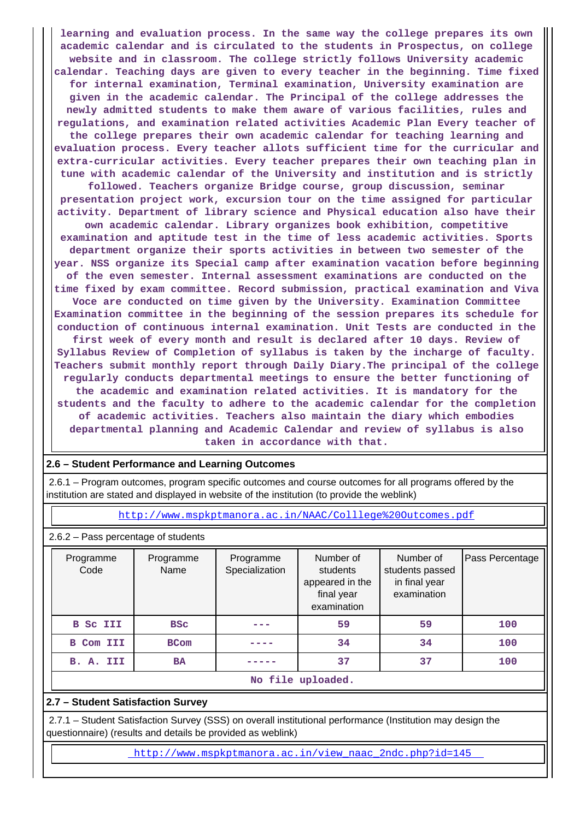**learning and evaluation process. In the same way the college prepares its own academic calendar and is circulated to the students in Prospectus, on college website and in classroom. The college strictly follows University academic calendar. Teaching days are given to every teacher in the beginning. Time fixed for internal examination, Terminal examination, University examination are given in the academic calendar. The Principal of the college addresses the newly admitted students to make them aware of various facilities, rules and regulations, and examination related activities Academic Plan Every teacher of the college prepares their own academic calendar for teaching learning and evaluation process. Every teacher allots sufficient time for the curricular and extra-curricular activities. Every teacher prepares their own teaching plan in tune with academic calendar of the University and institution and is strictly followed. Teachers organize Bridge course, group discussion, seminar presentation project work, excursion tour on the time assigned for particular activity. Department of library science and Physical education also have their own academic calendar. Library organizes book exhibition, competitive examination and aptitude test in the time of less academic activities. Sports department organize their sports activities in between two semester of the year. NSS organize its Special camp after examination vacation before beginning of the even semester. Internal assessment examinations are conducted on the time fixed by exam committee. Record submission, practical examination and Viva Voce are conducted on time given by the University. Examination Committee Examination committee in the beginning of the session prepares its schedule for conduction of continuous internal examination. Unit Tests are conducted in the first week of every month and result is declared after 10 days. Review of Syllabus Review of Completion of syllabus is taken by the incharge of faculty. Teachers submit monthly report through Daily Diary.The principal of the college regularly conducts departmental meetings to ensure the better functioning of the academic and examination related activities. It is mandatory for the students and the faculty to adhere to the academic calendar for the completion of academic activities. Teachers also maintain the diary which embodies departmental planning and Academic Calendar and review of syllabus is also taken in accordance with that.**

# **2.6 – Student Performance and Learning Outcomes**

 2.6.1 – Program outcomes, program specific outcomes and course outcomes for all programs offered by the institution are stated and displayed in website of the institution (to provide the weblink)

<http://www.mspkptmanora.ac.in/NAAC/Colllege%20Outcomes.pdf>

2.6.2 – Pass percentage of students

| Programme<br>Code | Programme<br>Name | Programme<br>Specialization | Number of<br>students<br>appeared in the<br>final year<br>examination | Number of<br>students passed<br>in final year<br>examination | Pass Percentage |  |  |
|-------------------|-------------------|-----------------------------|-----------------------------------------------------------------------|--------------------------------------------------------------|-----------------|--|--|
| <b>B</b> Sc III   | <b>BSC</b>        |                             | 59                                                                    | 59                                                           | 100             |  |  |
| <b>B</b> Com III  | <b>BCom</b>       |                             | 34                                                                    | 34                                                           | 100             |  |  |
| B. A. III         | <b>BA</b>         |                             | 37                                                                    | 37                                                           | 100             |  |  |
| No file uploaded. |                   |                             |                                                                       |                                                              |                 |  |  |

# **2.7 – Student Satisfaction Survey**

 2.7.1 – Student Satisfaction Survey (SSS) on overall institutional performance (Institution may design the questionnaire) (results and details be provided as weblink)

[http://www.mspkptmanora.ac.in/view\\_naac\\_2ndc.php?id=145](http://www.mspkptmanora.ac.in/view_naac_2ndc.php?id=145)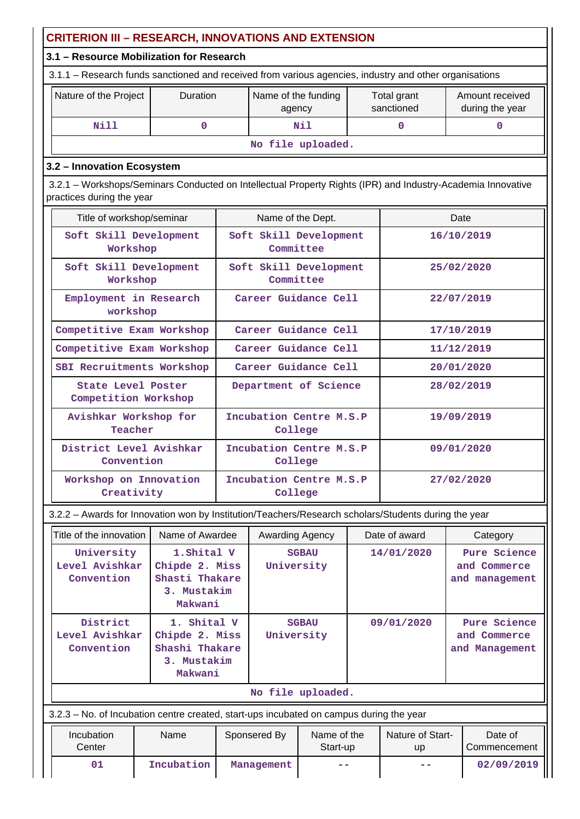| <b>CRITERION III - RESEARCH, INNOVATIONS AND EXTENSION</b>                                                                               |                                                                           |                                    |                               |                                    |            |                           |                                                |  |  |
|------------------------------------------------------------------------------------------------------------------------------------------|---------------------------------------------------------------------------|------------------------------------|-------------------------------|------------------------------------|------------|---------------------------|------------------------------------------------|--|--|
| 3.1 - Resource Mobilization for Research                                                                                                 |                                                                           |                                    |                               |                                    |            |                           |                                                |  |  |
| 3.1.1 - Research funds sanctioned and received from various agencies, industry and other organisations                                   |                                                                           |                                    |                               |                                    |            |                           |                                                |  |  |
| Nature of the Project                                                                                                                    | <b>Duration</b>                                                           |                                    | Name of the funding<br>agency |                                    |            | Total grant<br>sanctioned | Amount received<br>during the year             |  |  |
| <b>Nill</b>                                                                                                                              | 0                                                                         |                                    |                               | Nil<br>$\Omega$                    |            |                           | 0                                              |  |  |
|                                                                                                                                          |                                                                           |                                    |                               | No file uploaded.                  |            |                           |                                                |  |  |
| 3.2 - Innovation Ecosystem                                                                                                               |                                                                           |                                    |                               |                                    |            |                           |                                                |  |  |
| 3.2.1 - Workshops/Seminars Conducted on Intellectual Property Rights (IPR) and Industry-Academia Innovative<br>practices during the year |                                                                           |                                    |                               |                                    |            |                           |                                                |  |  |
| Title of workshop/seminar<br>Name of the Dept.<br>Date                                                                                   |                                                                           |                                    |                               |                                    |            |                           |                                                |  |  |
| Soft Skill Development<br>Workshop                                                                                                       |                                                                           |                                    | Committee                     | Soft Skill Development             |            |                           | 16/10/2019                                     |  |  |
| Soft Skill Development<br>Workshop                                                                                                       |                                                                           |                                    | Committee                     | Soft Skill Development             |            |                           | 25/02/2020                                     |  |  |
| Employment in Research<br>workshop                                                                                                       |                                                                           |                                    | Career Guidance Cell          |                                    |            | 22/07/2019                |                                                |  |  |
| Competitive Exam Workshop                                                                                                                |                                                                           |                                    |                               | Career Guidance Cell               |            |                           | 17/10/2019                                     |  |  |
| Competitive Exam Workshop                                                                                                                |                                                                           |                                    | Career Guidance Cell          |                                    | 11/12/2019 |                           |                                                |  |  |
| SBI Recruitments Workshop                                                                                                                | Career Guidance Cell                                                      |                                    |                               |                                    | 20/01/2020 |                           |                                                |  |  |
| <b>State Level Poster</b><br>Competition Workshop                                                                                        |                                                                           | Department of Science              |                               |                                    |            |                           | 28/02/2019                                     |  |  |
|                                                                                                                                          | Avishkar Workshop for<br>Teacher                                          |                                    |                               | Incubation Centre M.S.P<br>College |            |                           | 19/09/2019                                     |  |  |
| District Level Avishkar<br>Convention                                                                                                    |                                                                           | Incubation Centre M.S.P<br>College |                               |                                    |            | 09/01/2020                |                                                |  |  |
| Workshop on Innovation<br>Creativity                                                                                                     |                                                                           | Incubation Centre M.S.P<br>College |                               |                                    |            | 27/02/2020                |                                                |  |  |
| 3.2.2 - Awards for Innovation won by Institution/Teachers/Research scholars/Students during the year                                     |                                                                           |                                    |                               |                                    |            |                           |                                                |  |  |
| Title of the innovation                                                                                                                  | Name of Awardee                                                           |                                    | Awarding Agency               |                                    |            | Date of award<br>Category |                                                |  |  |
| University<br>Level Avishkar<br>Convention                                                                                               | 1. Shital V<br>Chipde 2. Miss<br>Shasti Thakare<br>3. Mustakim<br>Makwani |                                    | University                    | <b>SGBAU</b>                       |            | 14/01/2020                | Pure Science<br>and Commerce<br>and management |  |  |
| District<br>Level Avishkar<br>Convention                                                                                                 | 1. Shital V<br>Chipde 2. Miss<br>Shashi Thakare<br>3. Mustakim<br>Makwani |                                    | University                    | <b>SGBAU</b>                       |            | 09/01/2020                | Pure Science<br>and Commerce<br>and Management |  |  |
|                                                                                                                                          |                                                                           |                                    |                               | No file uploaded.                  |            |                           |                                                |  |  |
| 3.2.3 – No. of Incubation centre created, start-ups incubated on campus during the year                                                  |                                                                           |                                    |                               |                                    |            |                           |                                                |  |  |
| Incubation<br>Center                                                                                                                     | Name                                                                      |                                    | Sponsered By                  | Name of the<br>Start-up            |            | Nature of Start-<br>up    | Date of<br>Commencement                        |  |  |
| 01                                                                                                                                       | Incubation                                                                |                                    | Management                    | - -                                |            |                           | 02/09/2019                                     |  |  |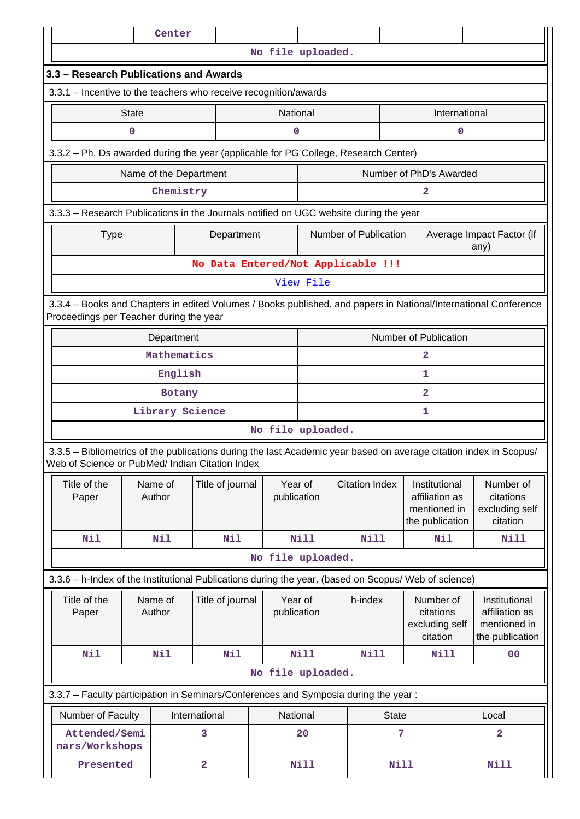|                                                                                                                                                                       |              | Center                 |                                    |                        |             |                       |                                                            |                                                                    |               |                                                                    |
|-----------------------------------------------------------------------------------------------------------------------------------------------------------------------|--------------|------------------------|------------------------------------|------------------------|-------------|-----------------------|------------------------------------------------------------|--------------------------------------------------------------------|---------------|--------------------------------------------------------------------|
|                                                                                                                                                                       |              |                        |                                    | No file uploaded.      |             |                       |                                                            |                                                                    |               |                                                                    |
| 3.3 - Research Publications and Awards                                                                                                                                |              |                        |                                    |                        |             |                       |                                                            |                                                                    |               |                                                                    |
| 3.3.1 - Incentive to the teachers who receive recognition/awards                                                                                                      |              |                        |                                    |                        |             |                       |                                                            |                                                                    |               |                                                                    |
|                                                                                                                                                                       | <b>State</b> |                        |                                    | National               |             |                       |                                                            |                                                                    | International |                                                                    |
|                                                                                                                                                                       | 0            |                        |                                    | 0                      |             |                       |                                                            |                                                                    | 0             |                                                                    |
| 3.3.2 - Ph. Ds awarded during the year (applicable for PG College, Research Center)                                                                                   |              |                        |                                    |                        |             |                       |                                                            |                                                                    |               |                                                                    |
|                                                                                                                                                                       |              | Name of the Department |                                    |                        |             |                       |                                                            | Number of PhD's Awarded                                            |               |                                                                    |
|                                                                                                                                                                       |              | Chemistry              |                                    |                        |             |                       |                                                            | 2                                                                  |               |                                                                    |
| 3.3.3 - Research Publications in the Journals notified on UGC website during the year                                                                                 |              |                        |                                    |                        |             |                       |                                                            |                                                                    |               |                                                                    |
| <b>Type</b>                                                                                                                                                           |              |                        | Department                         |                        |             |                       | Number of Publication<br>Average Impact Factor (if<br>any) |                                                                    |               |                                                                    |
|                                                                                                                                                                       |              |                        | No Data Entered/Not Applicable !!! |                        |             |                       |                                                            |                                                                    |               |                                                                    |
|                                                                                                                                                                       |              |                        |                                    |                        | View File   |                       |                                                            |                                                                    |               |                                                                    |
| 3.3.4 - Books and Chapters in edited Volumes / Books published, and papers in National/International Conference<br>Proceedings per Teacher during the year            |              |                        |                                    |                        |             |                       |                                                            |                                                                    |               |                                                                    |
| Number of Publication<br>Department                                                                                                                                   |              |                        |                                    |                        |             |                       |                                                            |                                                                    |               |                                                                    |
|                                                                                                                                                                       |              | Mathematics            |                                    |                        | 2           |                       |                                                            |                                                                    |               |                                                                    |
|                                                                                                                                                                       | English      |                        |                                    |                        |             |                       |                                                            | 1                                                                  |               |                                                                    |
|                                                                                                                                                                       | Botany       |                        |                                    |                        |             |                       |                                                            | $\mathbf{2}$                                                       |               |                                                                    |
|                                                                                                                                                                       |              | Library Science        |                                    |                        |             |                       |                                                            | 1                                                                  |               |                                                                    |
|                                                                                                                                                                       |              |                        |                                    | No file uploaded.      |             |                       |                                                            |                                                                    |               |                                                                    |
| 3.3.5 - Bibliometrics of the publications during the last Academic year based on average citation index in Scopus/<br>Web of Science or PubMed/ Indian Citation Index |              |                        |                                    |                        |             |                       |                                                            |                                                                    |               |                                                                    |
| Title of the<br>Paper                                                                                                                                                 |              | Name of<br>Author      | Title of journal                   | Year of<br>publication |             | <b>Citation Index</b> |                                                            | Institutional<br>affiliation as<br>mentioned in<br>the publication |               | Number of<br>citations<br>excluding self<br>citation               |
| Nil                                                                                                                                                                   |              | <b>Nil</b>             | Nil                                |                        | <b>Nill</b> | <b>Nill</b>           |                                                            | Nil                                                                |               | Nill                                                               |
|                                                                                                                                                                       |              |                        |                                    | No file uploaded.      |             |                       |                                                            |                                                                    |               |                                                                    |
| 3.3.6 - h-Index of the Institutional Publications during the year. (based on Scopus/ Web of science)                                                                  |              |                        |                                    |                        |             |                       |                                                            |                                                                    |               |                                                                    |
| Title of the<br>Paper                                                                                                                                                 |              | Name of<br>Author      | Title of journal                   | Year of<br>publication |             | h-index               |                                                            | Number of<br>citations<br>excluding self<br>citation               |               | Institutional<br>affiliation as<br>mentioned in<br>the publication |
| Nil                                                                                                                                                                   |              | Nil                    | Nil                                |                        | Nill        | Nill                  |                                                            | <b>Nill</b>                                                        |               | 00                                                                 |
|                                                                                                                                                                       |              |                        |                                    | No file uploaded.      |             |                       |                                                            |                                                                    |               |                                                                    |
| 3.3.7 - Faculty participation in Seminars/Conferences and Symposia during the year:                                                                                   |              |                        |                                    |                        |             |                       |                                                            |                                                                    |               |                                                                    |
| Number of Faculty                                                                                                                                                     |              |                        | International                      | National               |             |                       | <b>State</b>                                               |                                                                    |               | Local                                                              |
| Attended/Semi<br>nars/Workshops                                                                                                                                       |              |                        | 3                                  |                        | 20          |                       | 7                                                          |                                                                    | $\mathbf{2}$  |                                                                    |
| Presented                                                                                                                                                             |              |                        | $\overline{\mathbf{2}}$            |                        | <b>Nill</b> |                       | <b>Nill</b>                                                |                                                                    |               | <b>Nill</b>                                                        |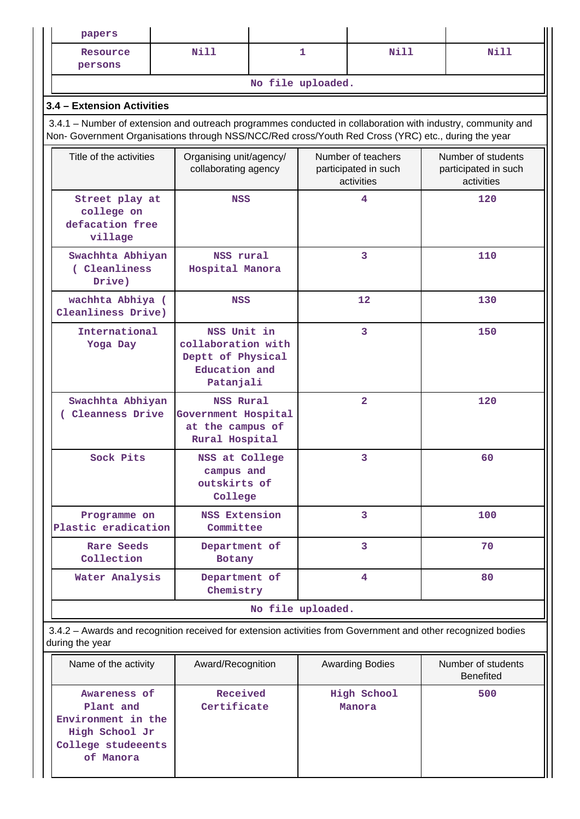| papers                                                                                                                                                                                                             |                                                 |                                                                                                                                                                                                                           |   |                                                          |                                                          |                                        |
|--------------------------------------------------------------------------------------------------------------------------------------------------------------------------------------------------------------------|-------------------------------------------------|---------------------------------------------------------------------------------------------------------------------------------------------------------------------------------------------------------------------------|---|----------------------------------------------------------|----------------------------------------------------------|----------------------------------------|
| Resource<br>persons                                                                                                                                                                                                | Nill                                            |                                                                                                                                                                                                                           | 1 | Nill                                                     |                                                          | <b>Nill</b>                            |
|                                                                                                                                                                                                                    |                                                 | No file uploaded.                                                                                                                                                                                                         |   |                                                          |                                                          |                                        |
| 3.4 - Extension Activities                                                                                                                                                                                         |                                                 |                                                                                                                                                                                                                           |   |                                                          |                                                          |                                        |
| 3.4.1 – Number of extension and outreach programmes conducted in collaboration with industry, community and<br>Non- Government Organisations through NSS/NCC/Red cross/Youth Red Cross (YRC) etc., during the year |                                                 |                                                                                                                                                                                                                           |   |                                                          |                                                          |                                        |
| Title of the activities                                                                                                                                                                                            | Organising unit/agency/<br>collaborating agency |                                                                                                                                                                                                                           |   | Number of teachers<br>participated in such<br>activities | Number of students<br>participated in such<br>activities |                                        |
| Street play at<br>college on<br>defacation free<br>village                                                                                                                                                         |                                                 | <b>NSS</b>                                                                                                                                                                                                                |   | 4                                                        |                                                          | 120                                    |
| Swachhta Abhiyan<br>(Cleanliness<br>Drive)                                                                                                                                                                         | NSS rural<br>Hospital Manora                    |                                                                                                                                                                                                                           | 3 |                                                          |                                                          | 110                                    |
| wachhta Abhiya (<br>Cleanliness Drive)                                                                                                                                                                             |                                                 | <b>NSS</b>                                                                                                                                                                                                                |   | 12                                                       |                                                          | 130                                    |
| International<br>Yoga Day                                                                                                                                                                                          |                                                 | NSS Unit in<br>collaboration with<br>Deptt of Physical<br>Education and<br>Patanjali<br>NSS Rural<br>Government Hospital<br>at the campus of<br>Rural Hospital<br>NSS at College<br>campus and<br>outskirts of<br>College |   | 3                                                        |                                                          | 150                                    |
| Swachhta Abhiyan<br>(Cleanness Drive                                                                                                                                                                               |                                                 |                                                                                                                                                                                                                           |   | $\overline{2}$<br>3                                      |                                                          | 120                                    |
| Sock Pits                                                                                                                                                                                                          |                                                 |                                                                                                                                                                                                                           |   |                                                          |                                                          | 60                                     |
| Programme on<br>Plastic eradication                                                                                                                                                                                | NSS Extension<br>Committee                      |                                                                                                                                                                                                                           |   | 3                                                        |                                                          | 100                                    |
| <b>Rare Seeds</b><br>Collection                                                                                                                                                                                    | Department of<br><b>Botany</b>                  |                                                                                                                                                                                                                           |   | 3                                                        |                                                          | 70                                     |
| Water Analysis                                                                                                                                                                                                     | Department of<br>Chemistry                      |                                                                                                                                                                                                                           |   | 4                                                        |                                                          | 80                                     |
|                                                                                                                                                                                                                    |                                                 | No file uploaded.                                                                                                                                                                                                         |   |                                                          |                                                          |                                        |
| 3.4.2 - Awards and recognition received for extension activities from Government and other recognized bodies<br>during the year                                                                                    |                                                 |                                                                                                                                                                                                                           |   |                                                          |                                                          |                                        |
| Name of the activity                                                                                                                                                                                               | Award/Recognition                               |                                                                                                                                                                                                                           |   | <b>Awarding Bodies</b>                                   |                                                          | Number of students<br><b>Benefited</b> |
| Awareness of<br>Plant and<br>Environment in the<br>High School Jr<br>College studeeents<br>of Manora                                                                                                               | Received<br>Certificate                         |                                                                                                                                                                                                                           |   | High School<br>Manora                                    |                                                          | 500                                    |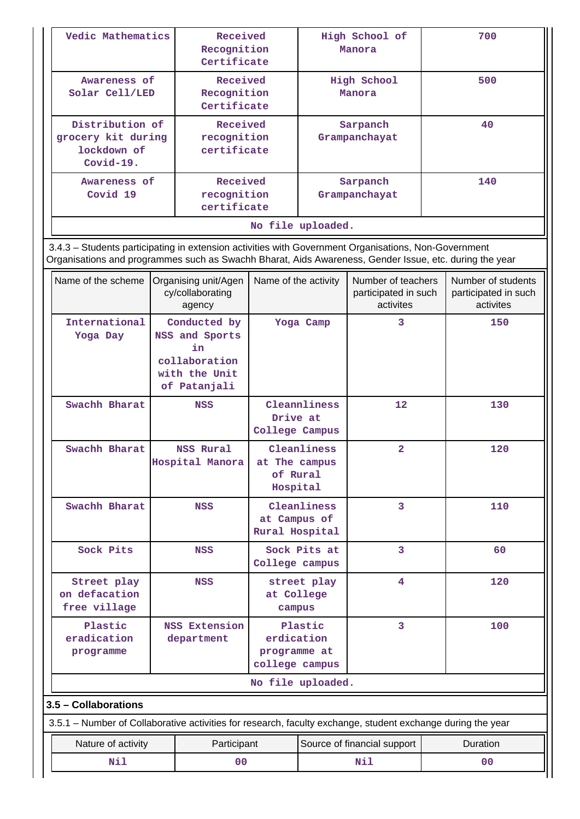| Vedic Mathematics                                                                                                                                                                                              |                                                                                        | Received<br>Recognition<br>Certificate             |                                                      |                                                                                 | High School of<br>Manora  |                            | 700                                                     |
|----------------------------------------------------------------------------------------------------------------------------------------------------------------------------------------------------------------|----------------------------------------------------------------------------------------|----------------------------------------------------|------------------------------------------------------|---------------------------------------------------------------------------------|---------------------------|----------------------------|---------------------------------------------------------|
| Awareness of<br>Solar Cell/LED                                                                                                                                                                                 |                                                                                        | Received<br>Recognition<br>Certificate             |                                                      |                                                                                 | High School<br>Manora     |                            | 500                                                     |
| Distribution of<br>grocery kit during<br>lockdown of<br>Covid-19.                                                                                                                                              |                                                                                        | Received<br>recognition<br>certificate             |                                                      | Sarpanch<br>Grampanchayat                                                       |                           |                            | 40                                                      |
| Awareness of<br>Covid 19                                                                                                                                                                                       | Received<br>recognition<br>certificate                                                 |                                                    |                                                      |                                                                                 | Sarpanch<br>Grampanchayat |                            | 140                                                     |
|                                                                                                                                                                                                                |                                                                                        |                                                    | No file uploaded.                                    |                                                                                 |                           |                            |                                                         |
| 3.4.3 - Students participating in extension activities with Government Organisations, Non-Government<br>Organisations and programmes such as Swachh Bharat, Aids Awareness, Gender Issue, etc. during the year |                                                                                        |                                                    |                                                      |                                                                                 |                           |                            |                                                         |
| Name of the scheme                                                                                                                                                                                             |                                                                                        | Organising unit/Agen<br>cy/collaborating<br>agency |                                                      | Name of the activity<br>Number of teachers<br>participated in such<br>activites |                           |                            | Number of students<br>participated in such<br>activites |
| International<br>Yoga Day                                                                                                                                                                                      | Conducted by<br>NSS and Sports<br>in<br>collaboration<br>with the Unit<br>of Patanjali |                                                    | Yoga Camp                                            |                                                                                 | 3                         |                            | 150                                                     |
| Swachh Bharat                                                                                                                                                                                                  |                                                                                        | <b>NSS</b>                                         | Cleannliness<br>Drive at<br>College Campus           |                                                                                 | 12                        |                            | 130                                                     |
| Swachh Bharat                                                                                                                                                                                                  |                                                                                        | <b>NSS Rural</b><br>Hospital Manora                | Cleanliness<br>at The campus<br>of Rural<br>Hospital |                                                                                 | $\overline{\mathbf{2}}$   |                            | 120                                                     |
| Swachh Bharat                                                                                                                                                                                                  |                                                                                        | <b>NSS</b>                                         | at Campus of<br>Rural Hospital                       | Cleanliness                                                                     | 3                         |                            | 110                                                     |
| Sock Pits                                                                                                                                                                                                      |                                                                                        | <b>NSS</b>                                         | College campus                                       | Sock Pits at                                                                    | 3                         |                            | 60                                                      |
| Street play<br>on defacation<br>free village                                                                                                                                                                   |                                                                                        | NSS                                                | at College<br>campus                                 | street play                                                                     | 4                         |                            | 120                                                     |
| Plastic<br>eradication<br>programme                                                                                                                                                                            |                                                                                        | <b>NSS Extension</b><br>department                 | erdication<br>programme at<br>college campus         | Plastic                                                                         | 3                         |                            | 100                                                     |
|                                                                                                                                                                                                                |                                                                                        |                                                    | No file uploaded.                                    |                                                                                 |                           |                            |                                                         |
| 3.5 - Collaborations                                                                                                                                                                                           |                                                                                        |                                                    |                                                      |                                                                                 |                           |                            |                                                         |
| 3.5.1 – Number of Collaborative activities for research, faculty exchange, student exchange during the year                                                                                                    |                                                                                        |                                                    |                                                      |                                                                                 |                           |                            |                                                         |
| Nature of activity<br>Nil                                                                                                                                                                                      |                                                                                        | Participant<br>0 <sub>0</sub>                      | Source of financial support<br>Nil                   |                                                                                 |                           | Duration<br>0 <sup>0</sup> |                                                         |
|                                                                                                                                                                                                                |                                                                                        |                                                    |                                                      |                                                                                 |                           |                            |                                                         |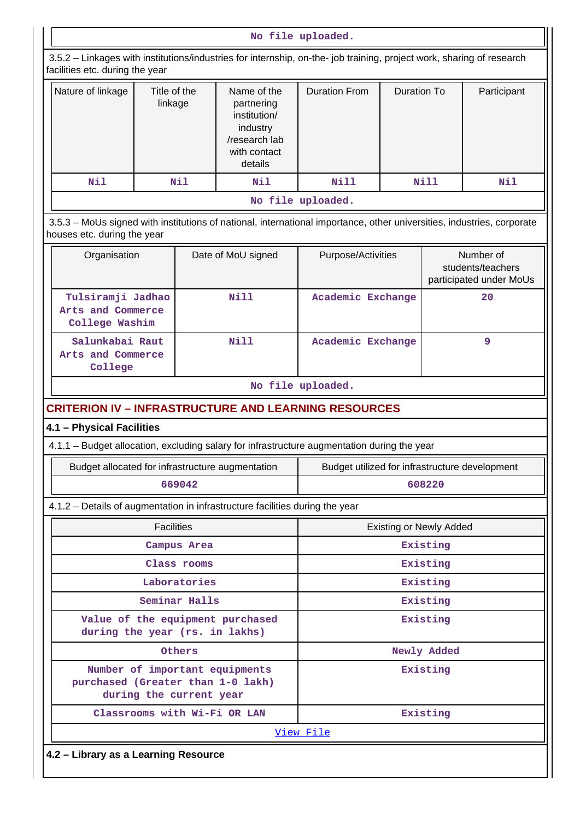|                                                                                                                                                          |                         |               |                                                                                                   | No file uploaded.                              |                    |             |                                                           |
|----------------------------------------------------------------------------------------------------------------------------------------------------------|-------------------------|---------------|---------------------------------------------------------------------------------------------------|------------------------------------------------|--------------------|-------------|-----------------------------------------------------------|
| 3.5.2 - Linkages with institutions/industries for internship, on-the- job training, project work, sharing of research<br>facilities etc. during the year |                         |               |                                                                                                   |                                                |                    |             |                                                           |
| Nature of linkage                                                                                                                                        | Title of the<br>linkage |               | Name of the<br>partnering<br>institution/<br>industry<br>/research lab<br>with contact<br>details | <b>Duration From</b>                           | <b>Duration To</b> |             | Participant                                               |
| Nil                                                                                                                                                      |                         | Nil           | Nil                                                                                               | Nill                                           |                    | Nill        | Nil                                                       |
|                                                                                                                                                          |                         |               |                                                                                                   | No file uploaded.                              |                    |             |                                                           |
| 3.5.3 - MoUs signed with institutions of national, international importance, other universities, industries, corporate<br>houses etc. during the year    |                         |               |                                                                                                   |                                                |                    |             |                                                           |
| Organisation                                                                                                                                             |                         |               | Date of MoU signed                                                                                | Purpose/Activities                             |                    |             | Number of<br>students/teachers<br>participated under MoUs |
| Tulsiramji Jadhao<br>Arts and Commerce<br>College Washim                                                                                                 |                         |               | Nill                                                                                              | Academic Exchange                              |                    |             | 20                                                        |
| Salunkabai Raut<br>Arts and Commerce<br>College                                                                                                          |                         |               | Nill                                                                                              | Academic Exchange                              |                    |             | 9                                                         |
|                                                                                                                                                          |                         |               |                                                                                                   | No file uploaded.                              |                    |             |                                                           |
| <b>CRITERION IV - INFRASTRUCTURE AND LEARNING RESOURCES</b>                                                                                              |                         |               |                                                                                                   |                                                |                    |             |                                                           |
| 4.1 - Physical Facilities                                                                                                                                |                         |               |                                                                                                   |                                                |                    |             |                                                           |
| 4.1.1 - Budget allocation, excluding salary for infrastructure augmentation during the year                                                              |                         |               |                                                                                                   |                                                |                    |             |                                                           |
| Budget allocated for infrastructure augmentation                                                                                                         |                         |               |                                                                                                   | Budget utilized for infrastructure development |                    |             |                                                           |
|                                                                                                                                                          |                         | 669042        |                                                                                                   | 608220                                         |                    |             |                                                           |
| 4.1.2 – Details of augmentation in infrastructure facilities during the year                                                                             |                         |               |                                                                                                   |                                                |                    |             |                                                           |
|                                                                                                                                                          | <b>Facilities</b>       |               |                                                                                                   | <b>Existing or Newly Added</b>                 |                    |             |                                                           |
|                                                                                                                                                          |                         | Campus Area   |                                                                                                   |                                                |                    | Existing    |                                                           |
|                                                                                                                                                          |                         | Class rooms   |                                                                                                   |                                                |                    | Existing    |                                                           |
|                                                                                                                                                          |                         | Laboratories  |                                                                                                   |                                                |                    | Existing    |                                                           |
|                                                                                                                                                          |                         | Seminar Halls |                                                                                                   |                                                |                    | Existing    |                                                           |
| during the year (rs. in lakhs)                                                                                                                           |                         |               | Value of the equipment purchased                                                                  |                                                |                    | Existing    |                                                           |
|                                                                                                                                                          |                         | Others        |                                                                                                   |                                                |                    | Newly Added |                                                           |
| purchased (Greater than 1-0 lakh)                                                                                                                        | during the current year |               | Number of important equipments                                                                    | Existing                                       |                    |             |                                                           |
|                                                                                                                                                          |                         |               | Classrooms with Wi-Fi OR LAN                                                                      | Existing                                       |                    |             |                                                           |
|                                                                                                                                                          |                         |               |                                                                                                   | View File                                      |                    |             |                                                           |
| 4.2 - Library as a Learning Resource                                                                                                                     |                         |               |                                                                                                   |                                                |                    |             |                                                           |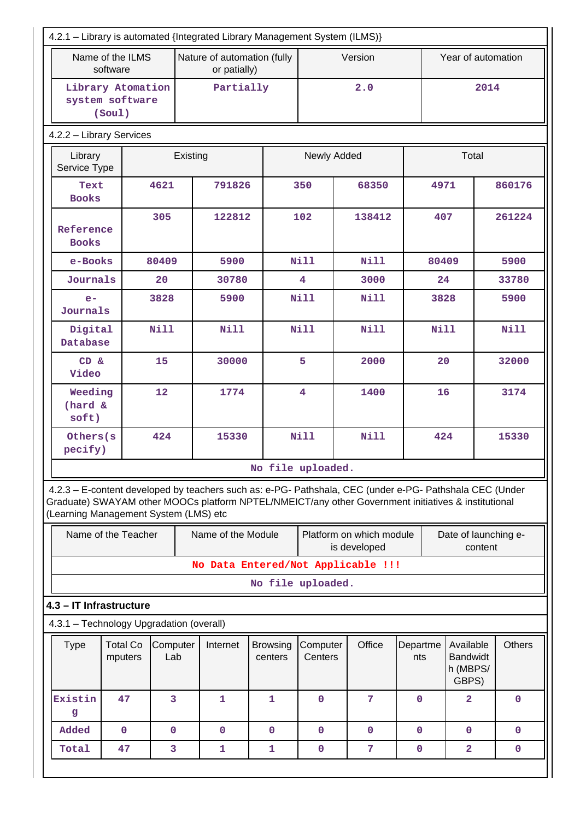| 4.2.1 - Library is automated {Integrated Library Management System (ILMS)}                                                                                                                                                                              |                                                |                 |          |                                             |                            |                         |                                          |                 |                                                   |               |
|---------------------------------------------------------------------------------------------------------------------------------------------------------------------------------------------------------------------------------------------------------|------------------------------------------------|-----------------|----------|---------------------------------------------|----------------------------|-------------------------|------------------------------------------|-----------------|---------------------------------------------------|---------------|
|                                                                                                                                                                                                                                                         | Name of the ILMS<br>software                   |                 |          | Nature of automation (fully<br>or patially) |                            |                         | Version                                  |                 | Year of automation                                |               |
|                                                                                                                                                                                                                                                         | Library Atomation<br>system software<br>(Soul) |                 |          | Partially                                   |                            |                         | 2.0                                      |                 | 2014                                              |               |
| 4.2.2 - Library Services                                                                                                                                                                                                                                |                                                |                 |          |                                             |                            |                         |                                          |                 |                                                   |               |
| Library<br>Service Type                                                                                                                                                                                                                                 |                                                |                 | Existing |                                             | Newly Added                |                         |                                          | Total           |                                                   |               |
| Text<br><b>Books</b>                                                                                                                                                                                                                                    |                                                | 4621            |          | 791826                                      |                            | 350                     | 68350                                    | 4971            |                                                   | 860176        |
| Reference<br><b>Books</b>                                                                                                                                                                                                                               |                                                | 305             |          | 122812                                      |                            | 102                     | 138412                                   | 407             |                                                   | 261224        |
| e-Books                                                                                                                                                                                                                                                 |                                                | 80409           |          | 5900                                        |                            | <b>Nill</b>             | <b>Nill</b>                              | 80409           |                                                   | 5900          |
| Journals                                                                                                                                                                                                                                                |                                                | 20              |          | 30780                                       |                            | $\overline{\mathbf{4}}$ | 3000                                     |                 | 24                                                | 33780         |
| $e-$<br>Journals                                                                                                                                                                                                                                        |                                                | 3828            |          | 5900                                        |                            | Nill                    | <b>Nill</b>                              | 3828            |                                                   | 5900          |
| Digital<br>Database                                                                                                                                                                                                                                     |                                                | <b>Nill</b>     |          | <b>Nill</b>                                 |                            | <b>Nill</b>             | <b>Nill</b>                              | <b>Nill</b>     |                                                   | <b>Nill</b>   |
| CD &<br>Video                                                                                                                                                                                                                                           | 15                                             |                 |          | 30000                                       |                            | 5                       | 2000                                     | 20              |                                                   | 32000         |
| Weeding<br>(hard &<br>soft)                                                                                                                                                                                                                             |                                                | 12              |          | 1774                                        |                            | 4                       | 1400                                     | 16              |                                                   | 3174          |
| Others(s<br>pecify)                                                                                                                                                                                                                                     |                                                | 424             |          | 15330                                       |                            | <b>Nill</b>             | <b>Nill</b>                              | 424             |                                                   | 15330         |
|                                                                                                                                                                                                                                                         |                                                |                 |          |                                             | No file uploaded.          |                         |                                          |                 |                                                   |               |
| 4.2.3 - E-content developed by teachers such as: e-PG- Pathshala, CEC (under e-PG- Pathshala CEC (Under<br>Graduate) SWAYAM other MOOCs platform NPTEL/NMEICT/any other Government initiatives & institutional<br>(Learning Management System (LMS) etc |                                                |                 |          |                                             |                            |                         |                                          |                 |                                                   |               |
|                                                                                                                                                                                                                                                         | Name of the Teacher                            |                 |          | Name of the Module                          |                            |                         | Platform on which module<br>is developed |                 | Date of launching e-<br>content                   |               |
|                                                                                                                                                                                                                                                         |                                                |                 |          |                                             |                            |                         | No Data Entered/Not Applicable !!!       |                 |                                                   |               |
|                                                                                                                                                                                                                                                         |                                                |                 |          |                                             | No file uploaded.          |                         |                                          |                 |                                                   |               |
| 4.3 - IT Infrastructure                                                                                                                                                                                                                                 |                                                |                 |          |                                             |                            |                         |                                          |                 |                                                   |               |
| 4.3.1 - Technology Upgradation (overall)                                                                                                                                                                                                                |                                                |                 |          |                                             |                            |                         |                                          |                 |                                                   |               |
| <b>Type</b>                                                                                                                                                                                                                                             | <b>Total Co</b><br>mputers                     | Computer<br>Lab |          | Internet                                    | <b>Browsing</b><br>centers | Computer<br>Centers     | Office                                   | Departme<br>nts | Available<br><b>Bandwidt</b><br>h (MBPS/<br>GBPS) | <b>Others</b> |
| Existin<br>g                                                                                                                                                                                                                                            | 47                                             | 3               |          | 1                                           | 1                          | $\overline{0}$          | $7\phantom{.}7$                          | $\mathbf{0}$    | $\overline{\mathbf{2}}$                           | $\mathbf 0$   |
| Added                                                                                                                                                                                                                                                   | $\mathbf 0$                                    | $\mathbf{0}$    |          | $\mathbf 0$                                 | $\mathbf 0$                | $\mathbf 0$             | $\mathbf{0}$                             | $\mathbf{0}$    | $\mathbf{0}$                                      | $\mathbf 0$   |
| Total                                                                                                                                                                                                                                                   | 47                                             | 3               |          | 1                                           | 1                          | $\pmb{0}$               | 7                                        | $\mathbf 0$     | $\overline{\mathbf{2}}$                           | $\mathbf 0$   |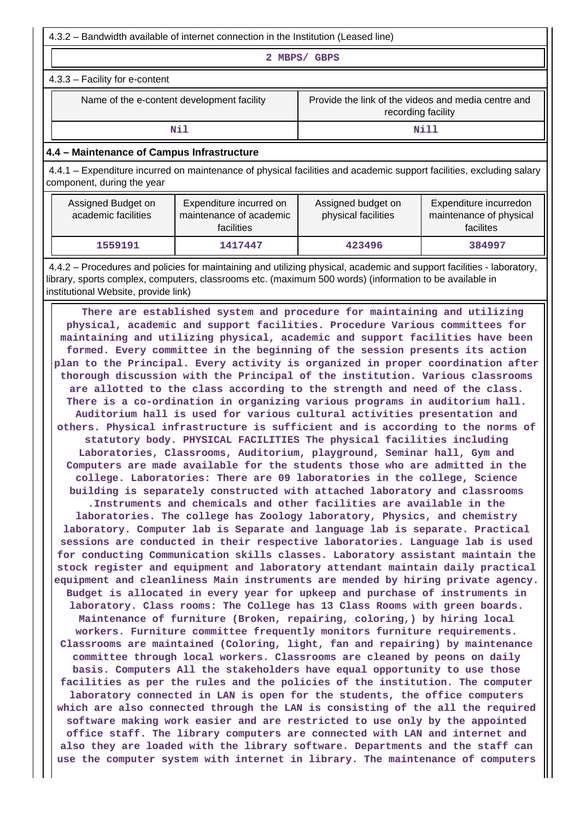4.3.2 – Bandwidth available of internet connection in the Institution (Leased line)

**2 MBPS/ GBPS**

4.3.3 – Facility for e-content

Name of the e-content development facility Frovide the link of the videos and media centre and recording facility

### **Nill** Nill

## **4.4 – Maintenance of Campus Infrastructure**

 4.4.1 – Expenditure incurred on maintenance of physical facilities and academic support facilities, excluding salary component, during the year

| Assigned Budget on<br>academic facilities | Expenditure incurred on<br>maintenance of academic<br><b>facilities</b> | Assigned budget on<br>physical facilities | Expenditure incurredon<br>maintenance of physical<br>facilites |
|-------------------------------------------|-------------------------------------------------------------------------|-------------------------------------------|----------------------------------------------------------------|
| 1559191                                   | 1417447                                                                 | 423496                                    | 384997                                                         |

 4.4.2 – Procedures and policies for maintaining and utilizing physical, academic and support facilities - laboratory, library, sports complex, computers, classrooms etc. (maximum 500 words) (information to be available in institutional Website, provide link)

 **There are established system and procedure for maintaining and utilizing physical, academic and support facilities. Procedure Various committees for maintaining and utilizing physical, academic and support facilities have been formed. Every committee in the beginning of the session presents its action plan to the Principal. Every activity is organized in proper coordination after thorough discussion with the Principal of the institution. Various classrooms are allotted to the class according to the strength and need of the class. There is a co-ordination in organizing various programs in auditorium hall. Auditorium hall is used for various cultural activities presentation and others. Physical infrastructure is sufficient and is according to the norms of statutory body. PHYSICAL FACILITIES The physical facilities including Laboratories, Classrooms, Auditorium, playground, Seminar hall, Gym and Computers are made available for the students those who are admitted in the college. Laboratories: There are 09 laboratories in the college, Science building is separately constructed with attached laboratory and classrooms .Instruments and chemicals and other facilities are available in the laboratories. The college has Zoology laboratory, Physics, and chemistry laboratory. Computer lab is Separate and language lab is separate. Practical sessions are conducted in their respective laboratories. Language lab is used for conducting Communication skills classes. Laboratory assistant maintain the stock register and equipment and laboratory attendant maintain daily practical equipment and cleanliness Main instruments are mended by hiring private agency. Budget is allocated in every year for upkeep and purchase of instruments in laboratory. Class rooms: The College has 13 Class Rooms with green boards. Maintenance of furniture (Broken, repairing, coloring,) by hiring local workers. Furniture committee frequently monitors furniture requirements. Classrooms are maintained (Coloring, light, fan and repairing) by maintenance committee through local workers. Classrooms are cleaned by peons on daily basis. Computers All the stakeholders have equal opportunity to use those facilities as per the rules and the policies of the institution. The computer laboratory connected in LAN is open for the students, the office computers which are also connected through the LAN is consisting of the all the required software making work easier and are restricted to use only by the appointed office staff. The library computers are connected with LAN and internet and also they are loaded with the library software. Departments and the staff can use the computer system with internet in library. The maintenance of computers**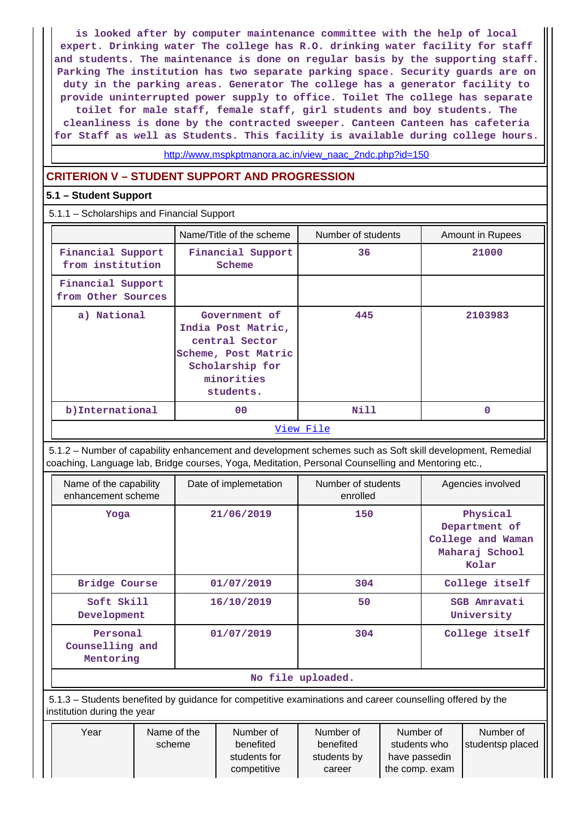**is looked after by computer maintenance committee with the help of local expert. Drinking water The college has R.O. drinking water facility for staff and students. The maintenance is done on regular basis by the supporting staff. Parking The institution has two separate parking space. Security guards are on duty in the parking areas. Generator The college has a generator facility to provide uninterrupted power supply to office. Toilet The college has separate toilet for male staff, female staff, girl students and boy students. The cleanliness is done by the contracted sweeper. Canteen Canteen has cafeteria for Staff as well as Students. This facility is available during college hours.**

[http://www.mspkptmanora.ac.in/view\\_naac\\_2ndc.php?id=150](http://www.mspkptmanora.ac.in/view_naac_2ndc.php?id=150)

# **CRITERION V – STUDENT SUPPORT AND PROGRESSION**

# **5.1 – Student Support**

5.1.1 – Scholarships and Financial Support

|                                         | Name/Title of the scheme                                                                                                   | Number of students | <b>Amount in Rupees</b> |
|-----------------------------------------|----------------------------------------------------------------------------------------------------------------------------|--------------------|-------------------------|
| Financial Support<br>from institution   | Financial Support<br>Scheme                                                                                                | 36                 | 21000                   |
| Financial Support<br>from Other Sources |                                                                                                                            |                    |                         |
| a) National                             | Government of<br>India Post Matric,<br>central Sector<br>Scheme, Post Matric<br>Scholarship for<br>minorities<br>students. | 445                | 2103983                 |
| b) International                        | 0 <sup>0</sup>                                                                                                             | Nill               | 0                       |
|                                         |                                                                                                                            | View File          |                         |

 5.1.2 – Number of capability enhancement and development schemes such as Soft skill development, Remedial coaching, Language lab, Bridge courses, Yoga, Meditation, Personal Counselling and Mentoring etc.,

| Name of the capability<br>enhancement scheme | Date of implemetation | Number of students<br>enrolled | Agencies involved                                                         |  |  |  |  |
|----------------------------------------------|-----------------------|--------------------------------|---------------------------------------------------------------------------|--|--|--|--|
| Yoga                                         | 21/06/2019            | 150                            | Physical<br>Department of<br>College and Waman<br>Maharaj School<br>Kolar |  |  |  |  |
| <b>Bridge Course</b>                         | 01/07/2019            | 304                            | College itself                                                            |  |  |  |  |
| Soft Skill<br>Development                    | 16/10/2019            | 50                             | SGB Amravati<br>University                                                |  |  |  |  |
| Personal<br>Counselling and<br>Mentoring     | 01/07/2019            | 304                            | College itself                                                            |  |  |  |  |
| No file uploaded.                            |                       |                                |                                                                           |  |  |  |  |

 5.1.3 – Students benefited by guidance for competitive examinations and career counselling offered by the institution during the year

| Year | Name of the | Number of    | Number of   | Number of      | Number of        |
|------|-------------|--------------|-------------|----------------|------------------|
|      | scheme      | benefited    | benefited   | students who   | studentsp placed |
|      |             | students for | students by | have passedin  |                  |
|      |             | competitive  | career      | the comp. exam |                  |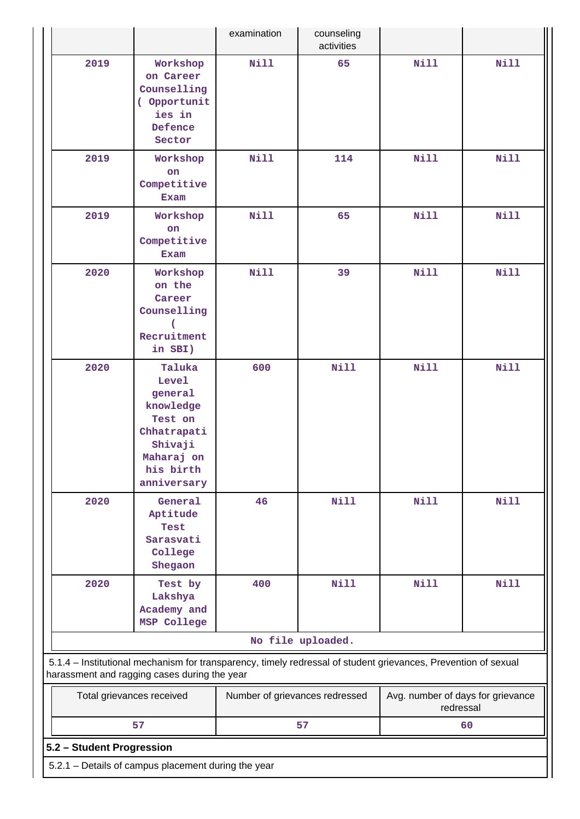|                           |                                                                                                                               | examination                    | counseling<br>activities |                                                                                                                |             |
|---------------------------|-------------------------------------------------------------------------------------------------------------------------------|--------------------------------|--------------------------|----------------------------------------------------------------------------------------------------------------|-------------|
| 2019                      | Workshop<br>on Career<br>Counselling<br>( Opportunit<br>ies in<br>Defence<br>Sector                                           | Nill                           | 65                       | <b>Nill</b>                                                                                                    | <b>Nill</b> |
| 2019                      | Workshop<br>on<br>Competitive<br>Exam                                                                                         | <b>Nill</b>                    | 114                      | <b>Nill</b>                                                                                                    | <b>Nill</b> |
| 2019                      | Workshop<br>on<br>Competitive<br><b>Exam</b>                                                                                  | <b>Nill</b>                    | 65                       | <b>Nill</b>                                                                                                    | <b>Nill</b> |
| 2020                      | Workshop<br>on the<br>Career<br>Counselling<br>Recruitment<br>in SBI)                                                         | <b>Nill</b>                    | 39                       | <b>Nill</b>                                                                                                    | <b>Nill</b> |
| 2020                      | Taluka<br><b>Level</b><br>general<br>knowledge<br>Test on<br>Chhatrapati<br>Shivaji<br>Maharaj on<br>his birth<br>anniversary | 600                            | Nill                     | <b>Nill</b>                                                                                                    | <b>Nill</b> |
| 2020                      | General<br>Aptitude<br>Test<br>Sarasvati<br>College<br>Shegaon                                                                | 46                             | <b>Nill</b>              | <b>Nill</b>                                                                                                    | <b>Nill</b> |
| 2020                      | Test by<br>Lakshya<br>Academy and<br>MSP College                                                                              | 400                            | <b>Nill</b>              | <b>Nill</b>                                                                                                    | <b>Nill</b> |
|                           |                                                                                                                               |                                | No file uploaded.        |                                                                                                                |             |
|                           | harassment and ragging cases during the year                                                                                  |                                |                          | 5.1.4 - Institutional mechanism for transparency, timely redressal of student grievances, Prevention of sexual |             |
|                           | Total grievances received                                                                                                     | Number of grievances redressed |                          | Avg. number of days for grievance<br>redressal                                                                 |             |
|                           | 57                                                                                                                            |                                | 57                       |                                                                                                                | 60          |
| 5.2 - Student Progression |                                                                                                                               |                                |                          |                                                                                                                |             |
|                           | 5.2.1 - Details of campus placement during the year                                                                           |                                |                          |                                                                                                                |             |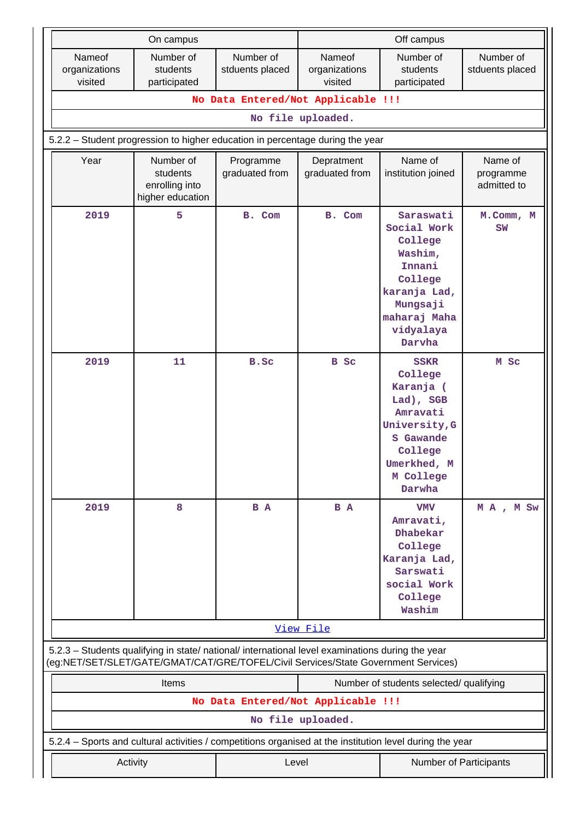|                                                                                                                                                                                        | On campus                                                   |                                    | Off campus                         |                                                                                                                                             |                                     |  |
|----------------------------------------------------------------------------------------------------------------------------------------------------------------------------------------|-------------------------------------------------------------|------------------------------------|------------------------------------|---------------------------------------------------------------------------------------------------------------------------------------------|-------------------------------------|--|
| Nameof<br>organizations<br>visited                                                                                                                                                     | Number of<br>students<br>participated                       | Number of<br>stduents placed       | Nameof<br>organizations<br>visited | Number of<br>students<br>participated                                                                                                       | Number of<br>stduents placed        |  |
|                                                                                                                                                                                        |                                                             | No Data Entered/Not Applicable !!! |                                    |                                                                                                                                             |                                     |  |
|                                                                                                                                                                                        |                                                             |                                    | No file uploaded.                  |                                                                                                                                             |                                     |  |
| 5.2.2 - Student progression to higher education in percentage during the year                                                                                                          |                                                             |                                    |                                    |                                                                                                                                             |                                     |  |
| Year                                                                                                                                                                                   | Number of<br>students<br>enrolling into<br>higher education | Programme<br>graduated from        | Depratment<br>graduated from       | Name of<br>institution joined                                                                                                               | Name of<br>programme<br>admitted to |  |
| 2019                                                                                                                                                                                   | 5                                                           | B. Com                             | B. Com                             | Saraswati<br>Social Work<br>College<br>Washim,<br>Innani<br>College<br>karanja Lad,<br>Mungsaji<br>maharaj Maha<br>vidyalaya<br>Darvha      | M.Comm, M<br>SW                     |  |
| 2019                                                                                                                                                                                   | 11                                                          | B.Sc                               | <b>B</b> Sc                        | <b>SSKR</b><br>College<br>Karanja (<br>Lad), SGB<br>Amravati<br>University, G<br>S Gawande<br>College<br>Umerkhed, M<br>M College<br>Darwha | M Sc                                |  |
| 2019                                                                                                                                                                                   | 8                                                           | B A                                | B A                                | <b>VMV</b><br>Amravati,<br>Dhabekar<br>College<br>Karanja Lad,<br>Sarswati<br>social Work<br>College<br>Washim                              | MA, MSw                             |  |
|                                                                                                                                                                                        |                                                             |                                    | View File                          |                                                                                                                                             |                                     |  |
| 5.2.3 - Students qualifying in state/ national/ international level examinations during the year<br>(eg:NET/SET/SLET/GATE/GMAT/CAT/GRE/TOFEL/Civil Services/State Government Services) |                                                             |                                    |                                    |                                                                                                                                             |                                     |  |
|                                                                                                                                                                                        | Items                                                       |                                    |                                    | Number of students selected/ qualifying                                                                                                     |                                     |  |
|                                                                                                                                                                                        |                                                             | No Data Entered/Not Applicable !!! |                                    |                                                                                                                                             |                                     |  |
|                                                                                                                                                                                        |                                                             |                                    | No file uploaded.                  |                                                                                                                                             |                                     |  |
| 5.2.4 - Sports and cultural activities / competitions organised at the institution level during the year                                                                               |                                                             |                                    |                                    |                                                                                                                                             |                                     |  |
|                                                                                                                                                                                        | Activity                                                    | Level                              |                                    | Number of Participants                                                                                                                      |                                     |  |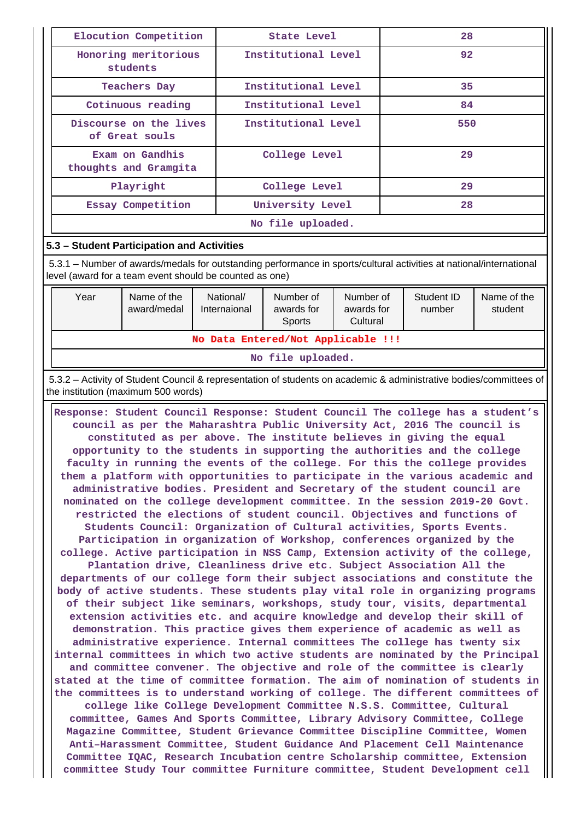| Elocution Competition                    | State Level         | 28  |  |  |  |
|------------------------------------------|---------------------|-----|--|--|--|
| Honoring meritorious<br>students         | Institutional Level | 92  |  |  |  |
| <b>Teachers Day</b>                      | Institutional Level | 35  |  |  |  |
| Cotinuous reading                        | Institutional Level | 84  |  |  |  |
| Discourse on the lives<br>of Great souls | Institutional Level | 550 |  |  |  |
| Exam on Gandhis<br>thoughts and Gramgita | College Level       | 29  |  |  |  |
| Playright                                | College Level       | 29  |  |  |  |
| Essay Competition                        | University Level    | 28  |  |  |  |
| No file uploaded.                        |                     |     |  |  |  |

# **5.3 – Student Participation and Activities**

 5.3.1 – Number of awards/medals for outstanding performance in sports/cultural activities at national/international level (award for a team event should be counted as one)

| Year                               | Name of the<br>award/medal | National/<br>Internaional | Number of<br>awards for<br>Sports | Number of<br>awards for<br>Cultural | Student ID<br>number | Name of the<br>student |  |  |  |
|------------------------------------|----------------------------|---------------------------|-----------------------------------|-------------------------------------|----------------------|------------------------|--|--|--|
| No Data Entered/Not Applicable !!! |                            |                           |                                   |                                     |                      |                        |  |  |  |
| No file uploaded.                  |                            |                           |                                   |                                     |                      |                        |  |  |  |

 5.3.2 – Activity of Student Council & representation of students on academic & administrative bodies/committees of the institution (maximum 500 words)

 **Response: Student Council Response: Student Council The college has a student's council as per the Maharashtra Public University Act, 2016 The council is constituted as per above. The institute believes in giving the equal opportunity to the students in supporting the authorities and the college faculty in running the events of the college. For this the college provides them a platform with opportunities to participate in the various academic and administrative bodies. President and Secretary of the student council are nominated on the college development committee. In the session 2019-20 Govt. restricted the elections of student council. Objectives and functions of Students Council: Organization of Cultural activities, Sports Events. Participation in organization of Workshop, conferences organized by the college. Active participation in NSS Camp, Extension activity of the college, Plantation drive, Cleanliness drive etc. Subject Association All the departments of our college form their subject associations and constitute the body of active students. These students play vital role in organizing programs of their subject like seminars, workshops, study tour, visits, departmental extension activities etc. and acquire knowledge and develop their skill of demonstration. This practice gives them experience of academic as well as administrative experience. Internal committees The college has twenty six internal committees in which two active students are nominated by the Principal and committee convener. The objective and role of the committee is clearly stated at the time of committee formation. The aim of nomination of students in the committees is to understand working of college. The different committees of college like College Development Committee N.S.S. Committee, Cultural committee, Games And Sports Committee, Library Advisory Committee, College Magazine Committee, Student Grievance Committee Discipline Committee, Women Anti–Harassment Committee, Student Guidance And Placement Cell Maintenance Committee IQAC, Research Incubation centre Scholarship committee, Extension**

**committee Study Tour committee Furniture committee, Student Development cell**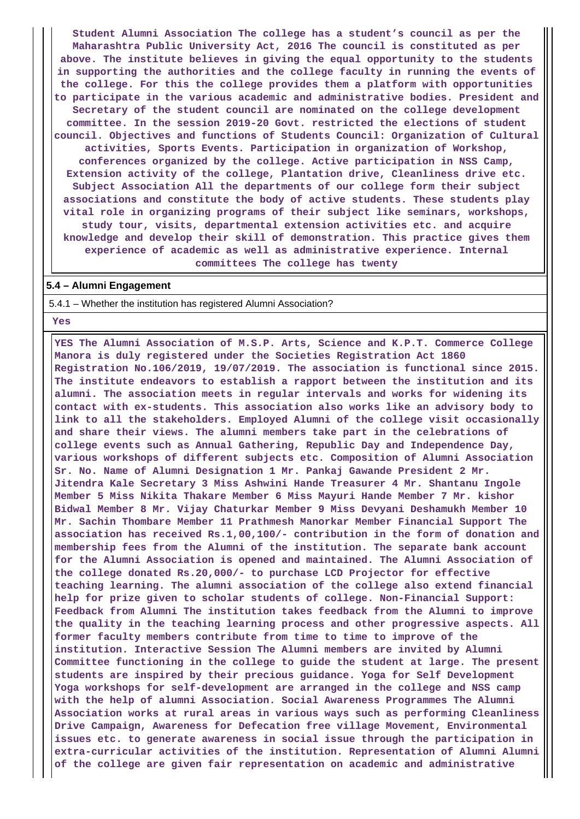**Student Alumni Association The college has a student's council as per the Maharashtra Public University Act, 2016 The council is constituted as per above. The institute believes in giving the equal opportunity to the students in supporting the authorities and the college faculty in running the events of the college. For this the college provides them a platform with opportunities to participate in the various academic and administrative bodies. President and Secretary of the student council are nominated on the college development committee. In the session 2019-20 Govt. restricted the elections of student council. Objectives and functions of Students Council: Organization of Cultural activities, Sports Events. Participation in organization of Workshop, conferences organized by the college. Active participation in NSS Camp, Extension activity of the college, Plantation drive, Cleanliness drive etc. Subject Association All the departments of our college form their subject associations and constitute the body of active students. These students play vital role in organizing programs of their subject like seminars, workshops, study tour, visits, departmental extension activities etc. and acquire knowledge and develop their skill of demonstration. This practice gives them experience of academic as well as administrative experience. Internal committees The college has twenty**

#### **5.4 – Alumni Engagement**

5.4.1 – Whether the institution has registered Alumni Association?

 **Yes**

 **YES The Alumni Association of M.S.P. Arts, Science and K.P.T. Commerce College Manora is duly registered under the Societies Registration Act 1860 Registration No.106/2019, 19/07/2019. The association is functional since 2015. The institute endeavors to establish a rapport between the institution and its alumni. The association meets in regular intervals and works for widening its contact with ex-students. This association also works like an advisory body to link to all the stakeholders. Employed Alumni of the college visit occasionally and share their views. The alumni members take part in the celebrations of college events such as Annual Gathering, Republic Day and Independence Day, various workshops of different subjects etc. Composition of Alumni Association Sr. No. Name of Alumni Designation 1 Mr. Pankaj Gawande President 2 Mr. Jitendra Kale Secretary 3 Miss Ashwini Hande Treasurer 4 Mr. Shantanu Ingole Member 5 Miss Nikita Thakare Member 6 Miss Mayuri Hande Member 7 Mr. kishor Bidwal Member 8 Mr. Vijay Chaturkar Member 9 Miss Devyani Deshamukh Member 10 Mr. Sachin Thombare Member 11 Prathmesh Manorkar Member Financial Support The association has received Rs.1,00,100/- contribution in the form of donation and membership fees from the Alumni of the institution. The separate bank account for the Alumni Association is opened and maintained. The Alumni Association of the college donated Rs.20,000/- to purchase LCD Projector for effective teaching learning. The alumni association of the college also extend financial help for prize given to scholar students of college. Non-Financial Support: Feedback from Alumni The institution takes feedback from the Alumni to improve the quality in the teaching learning process and other progressive aspects. All former faculty members contribute from time to time to improve of the institution. Interactive Session The Alumni members are invited by Alumni Committee functioning in the college to guide the student at large. The present students are inspired by their precious guidance. Yoga for Self Development Yoga workshops for self-development are arranged in the college and NSS camp with the help of alumni Association. Social Awareness Programmes The Alumni Association works at rural areas in various ways such as performing Cleanliness Drive Campaign, Awareness for Defecation free village Movement, Environmental issues etc. to generate awareness in social issue through the participation in extra-curricular activities of the institution. Representation of Alumni Alumni of the college are given fair representation on academic and administrative**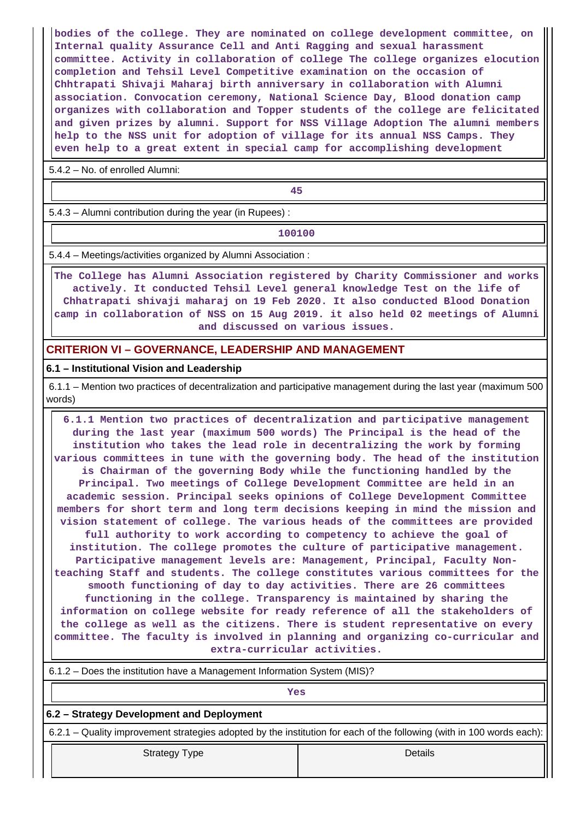**bodies of the college. They are nominated on college development committee, on Internal quality Assurance Cell and Anti Ragging and sexual harassment committee. Activity in collaboration of college The college organizes elocution completion and Tehsil Level Competitive examination on the occasion of Chhtrapati Shivaji Maharaj birth anniversary in collaboration with Alumni association. Convocation ceremony, National Science Day, Blood donation camp organizes with collaboration and Topper students of the college are felicitated and given prizes by alumni. Support for NSS Village Adoption The alumni members help to the NSS unit for adoption of village for its annual NSS Camps. They even help to a great extent in special camp for accomplishing development**

5.4.2 – No. of enrolled Alumni:

**45**

5.4.3 – Alumni contribution during the year (in Rupees) :

**100100**

5.4.4 – Meetings/activities organized by Alumni Association :

 **The College has Alumni Association registered by Charity Commissioner and works actively. It conducted Tehsil Level general knowledge Test on the life of Chhatrapati shivaji maharaj on 19 Feb 2020. It also conducted Blood Donation camp in collaboration of NSS on 15 Aug 2019. it also held 02 meetings of Alumni and discussed on various issues.**

# **CRITERION VI – GOVERNANCE, LEADERSHIP AND MANAGEMENT**

## **6.1 – Institutional Vision and Leadership**

 6.1.1 – Mention two practices of decentralization and participative management during the last year (maximum 500 words)

 **6.1.1 Mention two practices of decentralization and participative management during the last year (maximum 500 words) The Principal is the head of the institution who takes the lead role in decentralizing the work by forming various committees in tune with the governing body. The head of the institution is Chairman of the governing Body while the functioning handled by the Principal. Two meetings of College Development Committee are held in an academic session. Principal seeks opinions of College Development Committee members for short term and long term decisions keeping in mind the mission and vision statement of college. The various heads of the committees are provided full authority to work according to competency to achieve the goal of institution. The college promotes the culture of participative management. Participative management levels are: Management, Principal, Faculty Nonteaching Staff and students. The college constitutes various committees for the smooth functioning of day to day activities. There are 26 committees functioning in the college. Transparency is maintained by sharing the information on college website for ready reference of all the stakeholders of the college as well as the citizens. There is student representative on every committee. The faculty is involved in planning and organizing co-curricular and extra-curricular activities.**

6.1.2 – Does the institution have a Management Information System (MIS)?

# *Yes* **6.2 – Strategy Development and Deployment** 6.2.1 – Quality improvement strategies adopted by the institution for each of the following (with in 100 words each): Strategy Type **Details**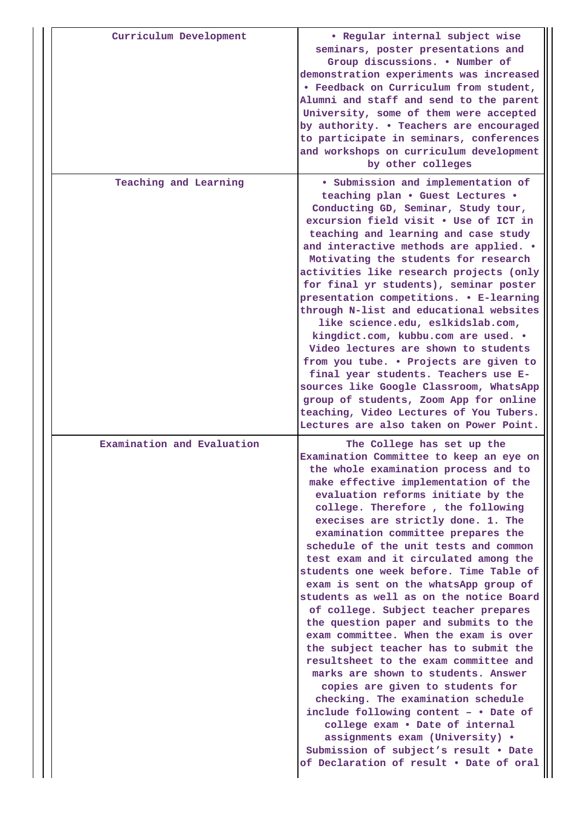| Curriculum Development     | · Regular internal subject wise<br>seminars, poster presentations and<br>Group discussions. . Number of<br>demonstration experiments was increased<br>. Feedback on Curriculum from student,<br>Alumni and staff and send to the parent<br>University, some of them were accepted<br>by authority. . Teachers are encouraged<br>to participate in seminars, conferences<br>and workshops on curriculum development<br>by other colleges                                                                                                                                                                                                                                                                                                                                                                                                                                                                                                                                                                                                                       |
|----------------------------|---------------------------------------------------------------------------------------------------------------------------------------------------------------------------------------------------------------------------------------------------------------------------------------------------------------------------------------------------------------------------------------------------------------------------------------------------------------------------------------------------------------------------------------------------------------------------------------------------------------------------------------------------------------------------------------------------------------------------------------------------------------------------------------------------------------------------------------------------------------------------------------------------------------------------------------------------------------------------------------------------------------------------------------------------------------|
| Teaching and Learning      | · Submission and implementation of<br>teaching plan . Guest Lectures .<br>Conducting GD, Seminar, Study tour,<br>excursion field visit . Use of ICT in<br>teaching and learning and case study<br>and interactive methods are applied. .<br>Motivating the students for research<br>activities like research projects (only<br>for final yr students), seminar poster<br>presentation competitions. . E-learning<br>through N-list and educational websites<br>like science.edu, eslkidslab.com,<br>kingdict.com, kubbu.com are used. .<br>Video lectures are shown to students<br>from you tube. . Projects are given to<br>final year students. Teachers use E-<br>sources like Google Classroom, WhatsApp<br>group of students, Zoom App for online<br>teaching, Video Lectures of You Tubers.<br>Lectures are also taken on Power Point.                                                                                                                                                                                                                  |
| Examination and Evaluation | The College has set up the<br>Examination Committee to keep an eye on<br>the whole examination process and to<br>make effective implementation of the<br>evaluation reforms initiate by the<br>college. Therefore, the following<br>execises are strictly done. 1. The<br>examination committee prepares the<br>schedule of the unit tests and common<br>test exam and it circulated among the<br>students one week before. Time Table of<br>exam is sent on the whatsApp group of<br>students as well as on the notice Board<br>of college. Subject teacher prepares<br>the question paper and submits to the<br>exam committee. When the exam is over<br>the subject teacher has to submit the<br>resultsheet to the exam committee and<br>marks are shown to students. Answer<br>copies are given to students for<br>checking. The examination schedule<br>include following content - . Date of<br>college exam . Date of internal<br>assignments exam (University) .<br>Submission of subject's result . Date<br>of Declaration of result . Date of oral |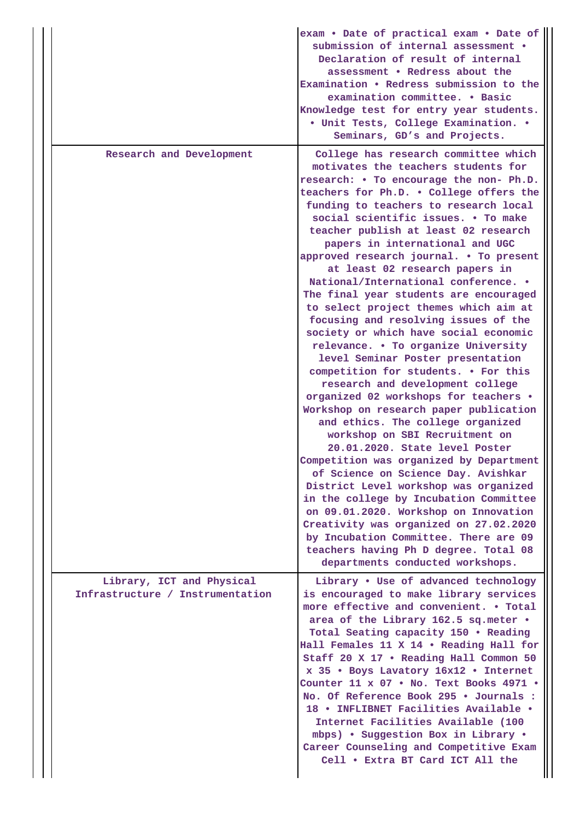|                                                               | exam . Date of practical exam . Date of<br>submission of internal assessment .<br>Declaration of result of internal<br>assessment . Redress about the<br>Examination . Redress submission to the<br>examination committee. . Basic<br>Knowledge test for entry year students.<br>· Unit Tests, College Examination. .<br>Seminars, GD's and Projects.                                                                                                                                                                                                                                                                                                                                                                                                                                                                                                                                                                                                                                                                                                                                                                                                                                                                             |
|---------------------------------------------------------------|-----------------------------------------------------------------------------------------------------------------------------------------------------------------------------------------------------------------------------------------------------------------------------------------------------------------------------------------------------------------------------------------------------------------------------------------------------------------------------------------------------------------------------------------------------------------------------------------------------------------------------------------------------------------------------------------------------------------------------------------------------------------------------------------------------------------------------------------------------------------------------------------------------------------------------------------------------------------------------------------------------------------------------------------------------------------------------------------------------------------------------------------------------------------------------------------------------------------------------------|
| Research and Development                                      | College has research committee which<br>motivates the teachers students for<br>research: • To encourage the non- Ph.D.<br>teachers for Ph.D. . College offers the<br>funding to teachers to research local<br>social scientific issues. . To make<br>teacher publish at least 02 research<br>papers in international and UGC<br>approved research journal. . To present<br>at least 02 research papers in<br>National/International conference. •<br>The final year students are encouraged<br>to select project themes which aim at<br>focusing and resolving issues of the<br>society or which have social economic<br>relevance. . To organize University<br>level Seminar Poster presentation<br>competition for students. . For this<br>research and development college<br>organized 02 workshops for teachers .<br>Workshop on research paper publication<br>and ethics. The college organized<br>workshop on SBI Recruitment on<br>20.01.2020. State level Poster<br>Competition was organized by Department<br>of Science on Science Day. Avishkar<br>District Level workshop was organized<br>in the college by Incubation Committee<br>on 09.01.2020. Workshop on Innovation<br>Creativity was organized on 27.02.2020 |
|                                                               | by Incubation Committee. There are 09<br>teachers having Ph D degree. Total 08<br>departments conducted workshops.                                                                                                                                                                                                                                                                                                                                                                                                                                                                                                                                                                                                                                                                                                                                                                                                                                                                                                                                                                                                                                                                                                                |
| Library, ICT and Physical<br>Infrastructure / Instrumentation | Library . Use of advanced technology<br>is encouraged to make library services<br>more effective and convenient. . Total<br>area of the Library 162.5 sq.meter .<br>Total Seating capacity 150 . Reading<br>Hall Females 11 X 14 . Reading Hall for<br>Staff 20 X 17 . Reading Hall Common 50<br>x 35 . Boys Lavatory 16x12 . Internet<br>Counter 11 x 07 . No. Text Books 4971 .<br>No. Of Reference Book 295 . Journals :<br>18 . INFLIBNET Facilities Available .<br>Internet Facilities Available (100<br>mbps) . Suggestion Box in Library .<br>Career Counseling and Competitive Exam<br>Cell . Extra BT Card ICT All the                                                                                                                                                                                                                                                                                                                                                                                                                                                                                                                                                                                                   |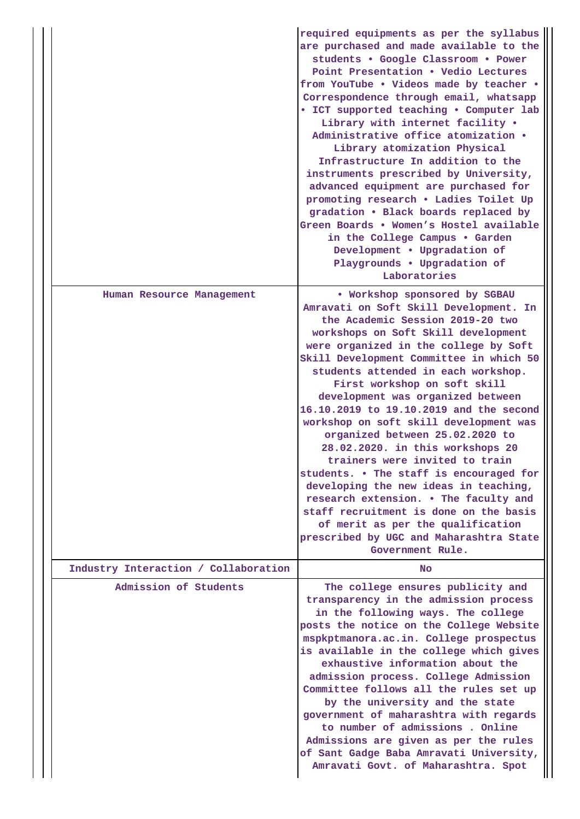|                                      | required equipments as per the syllabus<br>are purchased and made available to the<br>students . Google Classroom . Power<br>Point Presentation . Vedio Lectures<br>from YouTube . Videos made by teacher .<br>Correspondence through email, whatsapp<br>• ICT supported teaching • Computer lab<br>Library with internet facility .<br>Administrative office atomization .<br>Library atomization Physical<br>Infrastructure In addition to the<br>instruments prescribed by University,<br>advanced equipment are purchased for<br>promoting research . Ladies Toilet Up<br>gradation . Black boards replaced by<br>Green Boards . Women's Hostel available<br>in the College Campus . Garden<br>Development . Upgradation of<br>Playgrounds . Upgradation of<br>Laboratories                                             |
|--------------------------------------|-----------------------------------------------------------------------------------------------------------------------------------------------------------------------------------------------------------------------------------------------------------------------------------------------------------------------------------------------------------------------------------------------------------------------------------------------------------------------------------------------------------------------------------------------------------------------------------------------------------------------------------------------------------------------------------------------------------------------------------------------------------------------------------------------------------------------------|
| Human Resource Management            | . Workshop sponsored by SGBAU<br>Amravati on Soft Skill Development. In<br>the Academic Session 2019-20 two<br>workshops on Soft Skill development<br>were organized in the college by Soft<br>Skill Development Committee in which 50<br>students attended in each workshop.<br>First workshop on soft skill<br>development was organized between<br>16.10.2019 to 19.10.2019 and the second<br>workshop on soft skill development was<br>organized between 25.02.2020 to<br>28.02.2020. in this workshops 20<br>trainers were invited to train<br>students. • The staff is encouraged for<br>developing the new ideas in teaching,<br>research extension. . The faculty and<br>staff recruitment is done on the basis<br>of merit as per the qualification<br>prescribed by UGC and Maharashtra State<br>Government Rule. |
| Industry Interaction / Collaboration | <b>No</b>                                                                                                                                                                                                                                                                                                                                                                                                                                                                                                                                                                                                                                                                                                                                                                                                                   |
| Admission of Students                | The college ensures publicity and<br>transparency in the admission process<br>in the following ways. The college<br>posts the notice on the College Website<br>mspkptmanora.ac.in. College prospectus<br>is available in the college which gives<br>exhaustive information about the<br>admission process. College Admission<br>Committee follows all the rules set up<br>by the university and the state<br>government of maharashtra with regards<br>to number of admissions. Online<br>Admissions are given as per the rules<br>of Sant Gadge Baba Amravati University,<br>Amravati Govt. of Maharashtra. Spot                                                                                                                                                                                                           |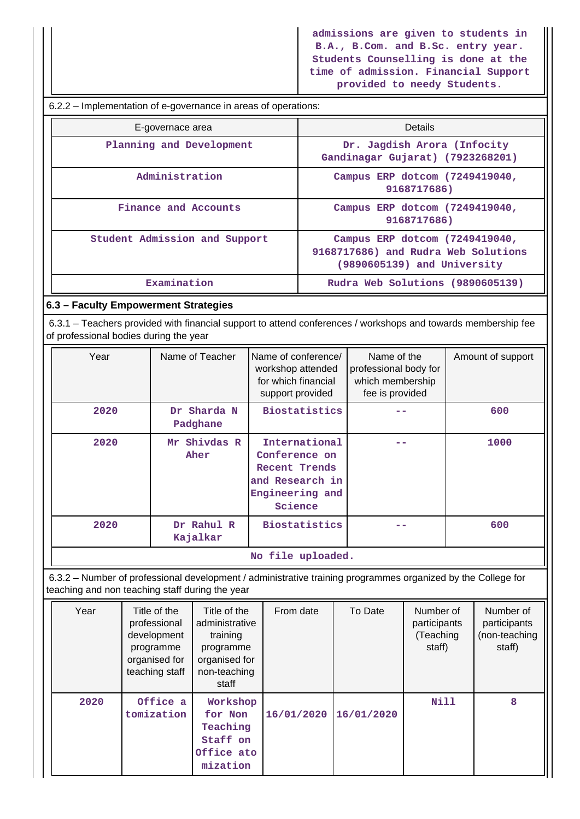**admissions are given to students in B.A., B.Com. and B.Sc. entry year. Students Counselling is done at the time of admission. Financial Support provided to needy Students.**

 6.2.2 – Implementation of e-governance in areas of operations: E-governace area **Details** Planning and Development  $\qquad$  Dr. Jagdish Arora (Infocity **Gandinagar Gujarat) (7923268201) Administration Campus ERP dotcom (7249419040, 9168717686)** Finance and Accounts **Campus ERP** dotcom (7249419040, **9168717686) Student Admission and Support Campus ERP dotcom (7249419040, 9168717686) and Rudra Web Solutions (9890605139) and University Examination** Rudra Web Solutions (9890605139) **6.3 – Faculty Empowerment Strategies** 6.3.1 – Teachers provided with financial support to attend conferences / workshops and towards membership fee of professional bodies during the year Year | Name of Teacher | Name of conference/ workshop attended for which financial support provided Name of the professional body for which membership fee is provided Amount of support  **2020 Dr Sharda N Padghane Biostatistics -- 600 2020 Mr Shivdas R Aher International Conference on Recent Trends and Research in Engineering and Science -- 1000 2020 Dr Rahul R Kajalkar Biostatistics -- 600 No file uploaded.**

 6.3.2 – Number of professional development / administrative training programmes organized by the College for teaching and non teaching staff during the year

| Year | Title of the<br>professional<br>development<br>programme<br>organised for<br>teaching staff | Title of the<br>administrative<br>training<br>programme<br>organised for<br>non-teaching<br>staff | From date  | To Date    | Number of<br>participants<br>(Teaching<br>staff) | Number of<br>participants<br>(non-teaching<br>staff) |
|------|---------------------------------------------------------------------------------------------|---------------------------------------------------------------------------------------------------|------------|------------|--------------------------------------------------|------------------------------------------------------|
| 2020 | Office a<br>tomization                                                                      | Workshop<br>for Non<br>Teaching<br>Staff on<br>Office ato<br>mization                             | 16/01/2020 | 16/01/2020 | <b>Nill</b>                                      | 8                                                    |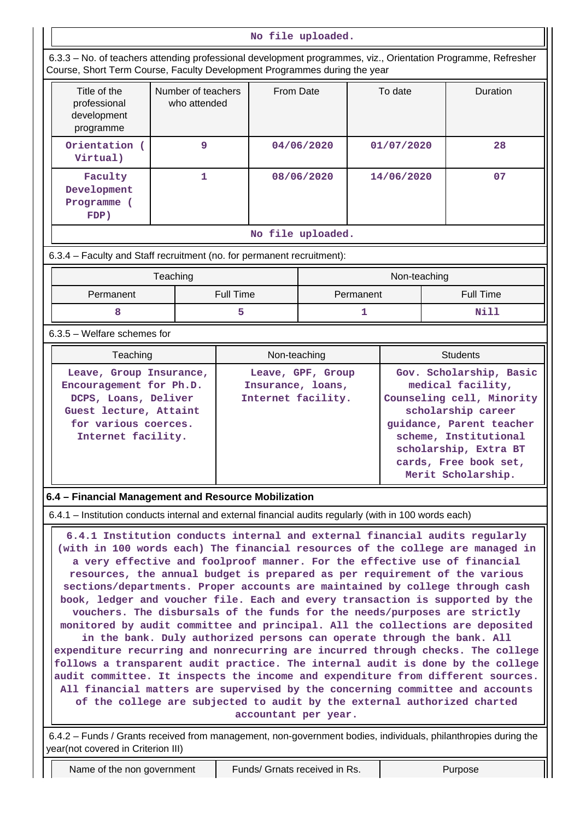### **No file uploaded.**

| 6.3.3 – No. of teachers attending professional development programmes, viz., Orientation Programme, Refresher<br>Course, Short Term Course, Faculty Development Programmes during the year |                                    |                  |                   |                                                              |            |                                                                                                 |                 |                  |  |
|--------------------------------------------------------------------------------------------------------------------------------------------------------------------------------------------|------------------------------------|------------------|-------------------|--------------------------------------------------------------|------------|-------------------------------------------------------------------------------------------------|-----------------|------------------|--|
| Title of the<br>professional<br>development<br>programme                                                                                                                                   | Number of teachers<br>who attended | From Date        |                   |                                                              | To date    |                                                                                                 | Duration        |                  |  |
| Orientation (<br>Virtual)                                                                                                                                                                  | 9                                  |                  |                   | 04/06/2020                                                   | 01/07/2020 |                                                                                                 |                 | 28               |  |
| Faculty<br>Development<br>Programme (<br>FDP)                                                                                                                                              | $\mathbf{1}$                       |                  |                   | 08/06/2020                                                   | 14/06/2020 |                                                                                                 |                 | 07               |  |
|                                                                                                                                                                                            |                                    |                  | No file uploaded. |                                                              |            |                                                                                                 |                 |                  |  |
| 6.3.4 – Faculty and Staff recruitment (no. for permanent recruitment):                                                                                                                     |                                    |                  |                   |                                                              |            |                                                                                                 |                 |                  |  |
|                                                                                                                                                                                            | Teaching                           |                  |                   |                                                              |            | Non-teaching                                                                                    |                 |                  |  |
| Permanent                                                                                                                                                                                  |                                    | <b>Full Time</b> |                   |                                                              | Permanent  |                                                                                                 |                 | <b>Full Time</b> |  |
| 8                                                                                                                                                                                          |                                    | 5                |                   |                                                              | 1          |                                                                                                 | Nill            |                  |  |
| 6.3.5 - Welfare schemes for                                                                                                                                                                |                                    |                  |                   |                                                              |            |                                                                                                 |                 |                  |  |
| Teaching                                                                                                                                                                                   |                                    |                  | Non-teaching      |                                                              |            |                                                                                                 | <b>Students</b> |                  |  |
| Leave, Group Insurance,<br>Encouragement for Ph.D.<br>DCPS, Loans, Deliver<br>Guest lecture, Attaint                                                                                       |                                    |                  |                   | Leave, GPF, Group<br>Insurance, loans,<br>Internet facility. |            | Gov. Scholarship, Basic<br>medical facility,<br>Counseling cell, Minority<br>scholarship career |                 |                  |  |

**Internet facility. scheme, Institutional scholarship, Extra BT cards, Free book set, Merit Scholarship.**

# **6.4 – Financial Management and Resource Mobilization**

**for various coerces.**

6.4.1 – Institution conducts internal and external financial audits regularly (with in 100 words each)

 **6.4.1 Institution conducts internal and external financial audits regularly (with in 100 words each) The financial resources of the college are managed in a very effective and foolproof manner. For the effective use of financial resources, the annual budget is prepared as per requirement of the various sections/departments. Proper accounts are maintained by college through cash book, ledger and voucher file. Each and every transaction is supported by the vouchers. The disbursals of the funds for the needs/purposes are strictly monitored by audit committee and principal. All the collections are deposited in the bank. Duly authorized persons can operate through the bank. All expenditure recurring and nonrecurring are incurred through checks. The college follows a transparent audit practice. The internal audit is done by the college audit committee. It inspects the income and expenditure from different sources. All financial matters are supervised by the concerning committee and accounts of the college are subjected to audit by the external authorized charted accountant per year.**

 6.4.2 – Funds / Grants received from management, non-government bodies, individuals, philanthropies during the year(not covered in Criterion III)

Name of the non government | Funds/ Grnats received in Rs. | Purpose

**guidance, Parent teacher**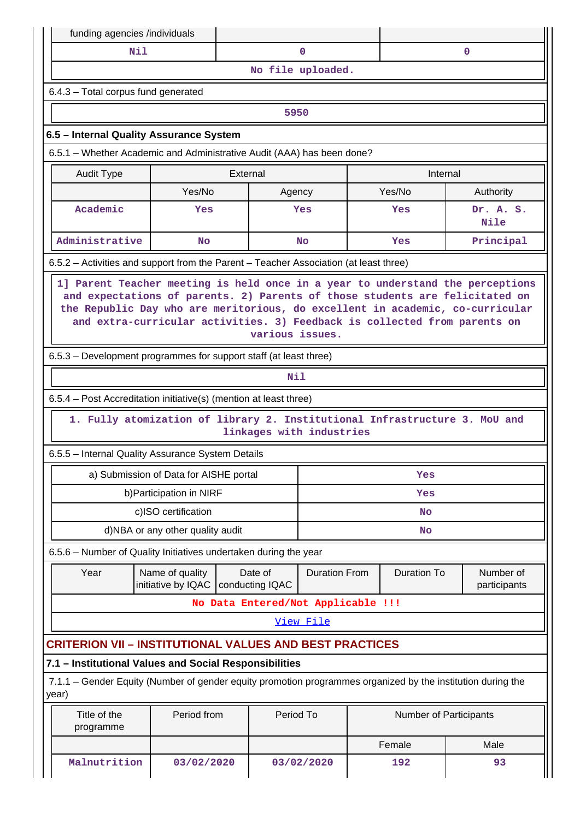| funding agencies /individuals                                                                                        |                                                                            |                 |                          |  |                               |                           |  |  |  |  |
|----------------------------------------------------------------------------------------------------------------------|----------------------------------------------------------------------------|-----------------|--------------------------|--|-------------------------------|---------------------------|--|--|--|--|
| N11                                                                                                                  |                                                                            |                 | $\mathbf 0$              |  |                               | $\mathbf 0$               |  |  |  |  |
|                                                                                                                      |                                                                            |                 | No file uploaded.        |  |                               |                           |  |  |  |  |
| 6.4.3 - Total corpus fund generated                                                                                  |                                                                            |                 |                          |  |                               |                           |  |  |  |  |
| 5950                                                                                                                 |                                                                            |                 |                          |  |                               |                           |  |  |  |  |
| 6.5 - Internal Quality Assurance System                                                                              |                                                                            |                 |                          |  |                               |                           |  |  |  |  |
| 6.5.1 - Whether Academic and Administrative Audit (AAA) has been done?                                               |                                                                            |                 |                          |  |                               |                           |  |  |  |  |
| <b>Audit Type</b>                                                                                                    | External                                                                   |                 |                          |  | Internal                      |                           |  |  |  |  |
|                                                                                                                      | Yes/No                                                                     | Agency          |                          |  | Yes/No                        | Authority                 |  |  |  |  |
| Academic                                                                                                             | Yes                                                                        |                 | Yes                      |  | Yes                           | Dr. A. S.<br>Nile         |  |  |  |  |
| Administrative                                                                                                       | <b>No</b>                                                                  |                 | <b>No</b>                |  | Yes                           | Principal                 |  |  |  |  |
| 6.5.2 – Activities and support from the Parent – Teacher Association (at least three)                                |                                                                            |                 |                          |  |                               |                           |  |  |  |  |
| 6.5.3 – Development programmes for support staff (at least three)                                                    | and extra-curricular activities. 3) Feedback is collected from parents on  | various issues. |                          |  |                               |                           |  |  |  |  |
|                                                                                                                      |                                                                            | Nil             |                          |  |                               |                           |  |  |  |  |
| 6.5.4 – Post Accreditation initiative(s) (mention at least three)                                                    |                                                                            |                 |                          |  |                               |                           |  |  |  |  |
|                                                                                                                      | 1. Fully atomization of library 2. Institutional Infrastructure 3. MoU and |                 | linkages with industries |  |                               |                           |  |  |  |  |
| 6.5.5 - Internal Quality Assurance System Details                                                                    |                                                                            |                 |                          |  |                               |                           |  |  |  |  |
|                                                                                                                      | a) Submission of Data for AISHE portal                                     |                 |                          |  | Yes                           |                           |  |  |  |  |
|                                                                                                                      | b) Participation in NIRF                                                   |                 |                          |  | Yes                           |                           |  |  |  |  |
|                                                                                                                      | c)ISO certification                                                        |                 |                          |  | No                            |                           |  |  |  |  |
|                                                                                                                      | d)NBA or any other quality audit                                           |                 |                          |  | No                            |                           |  |  |  |  |
| 6.5.6 - Number of Quality Initiatives undertaken during the year                                                     |                                                                            |                 |                          |  |                               |                           |  |  |  |  |
| Year                                                                                                                 | Name of quality<br>initiative by IQAC   conducting IQAC                    | Date of         | <b>Duration From</b>     |  | <b>Duration To</b>            | Number of<br>participants |  |  |  |  |
|                                                                                                                      | No Data Entered/Not Applicable !!!                                         |                 |                          |  |                               |                           |  |  |  |  |
|                                                                                                                      |                                                                            |                 | View File                |  |                               |                           |  |  |  |  |
| <b>CRITERION VII - INSTITUTIONAL VALUES AND BEST PRACTICES</b>                                                       |                                                                            |                 |                          |  |                               |                           |  |  |  |  |
| 7.1 - Institutional Values and Social Responsibilities                                                               |                                                                            |                 |                          |  |                               |                           |  |  |  |  |
| 7.1.1 – Gender Equity (Number of gender equity promotion programmes organized by the institution during the<br>year) |                                                                            |                 |                          |  |                               |                           |  |  |  |  |
| Title of the<br>programme                                                                                            | Period from                                                                | Period To       |                          |  | <b>Number of Participants</b> |                           |  |  |  |  |
|                                                                                                                      |                                                                            |                 |                          |  | Female                        | Male                      |  |  |  |  |
| Malnutrition                                                                                                         | 03/02/2020                                                                 |                 | 03/02/2020               |  | 192                           | 93                        |  |  |  |  |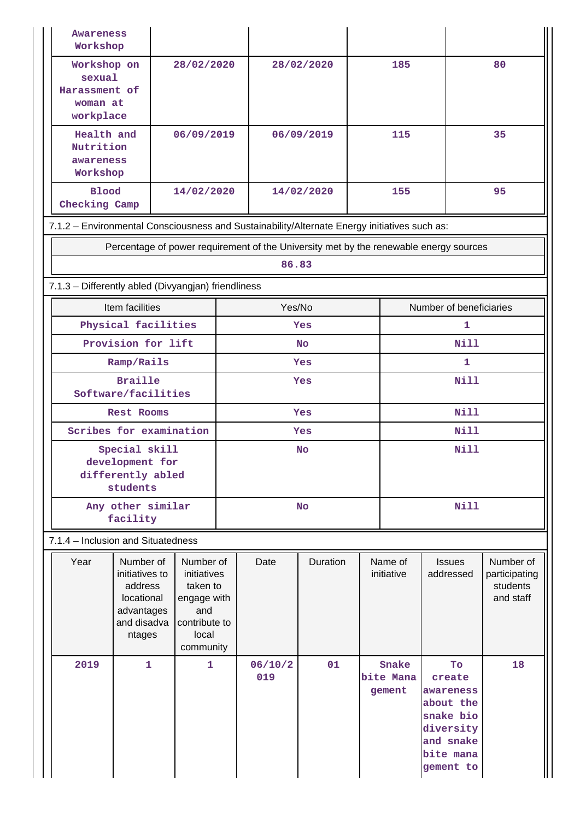| <b>Awareness</b><br>Workshop                                                                 |                                                                                             |                                                                                                   |                   |                |            |                             |                              |                                                                                                         |                                                     |  |
|----------------------------------------------------------------------------------------------|---------------------------------------------------------------------------------------------|---------------------------------------------------------------------------------------------------|-------------------|----------------|------------|-----------------------------|------------------------------|---------------------------------------------------------------------------------------------------------|-----------------------------------------------------|--|
| Workshop on<br>sexual<br>Harassment of<br>woman at<br>workplace                              |                                                                                             | 28/02/2020                                                                                        |                   |                | 28/02/2020 |                             | 185                          |                                                                                                         | 80                                                  |  |
| Health and<br>Nutrition<br>awareness<br>Workshop                                             |                                                                                             | 06/09/2019                                                                                        |                   |                | 06/09/2019 | 115                         |                              |                                                                                                         | 35                                                  |  |
| <b>Blood</b><br>Checking Camp                                                                |                                                                                             | 14/02/2020                                                                                        |                   |                | 14/02/2020 |                             | 155                          |                                                                                                         | 95                                                  |  |
| 7.1.2 - Environmental Consciousness and Sustainability/Alternate Energy initiatives such as: |                                                                                             |                                                                                                   |                   |                |            |                             |                              |                                                                                                         |                                                     |  |
|                                                                                              | Percentage of power requirement of the University met by the renewable energy sources       |                                                                                                   |                   |                |            |                             |                              |                                                                                                         |                                                     |  |
|                                                                                              |                                                                                             |                                                                                                   |                   | 86.83          |            |                             |                              |                                                                                                         |                                                     |  |
| 7.1.3 - Differently abled (Divyangjan) friendliness                                          |                                                                                             |                                                                                                   |                   |                |            |                             |                              |                                                                                                         |                                                     |  |
|                                                                                              | Item facilities                                                                             |                                                                                                   |                   | Yes/No         |            |                             |                              | Number of beneficiaries                                                                                 |                                                     |  |
|                                                                                              | Physical facilities                                                                         |                                                                                                   |                   |                | Yes        |                             |                              | 1.                                                                                                      |                                                     |  |
|                                                                                              | Provision for lift                                                                          |                                                                                                   |                   |                | No         | <b>Nill</b><br>$\mathbf{1}$ |                              |                                                                                                         |                                                     |  |
|                                                                                              | Ramp/Rails<br><b>Braille</b>                                                                |                                                                                                   | Yes<br><b>Yes</b> |                |            |                             | Nill                         |                                                                                                         |                                                     |  |
|                                                                                              | Software/facilities                                                                         |                                                                                                   |                   |                |            |                             |                              |                                                                                                         |                                                     |  |
|                                                                                              | <b>Rest Rooms</b>                                                                           |                                                                                                   | <b>Yes</b>        |                |            |                             |                              | <b>Nill</b>                                                                                             |                                                     |  |
|                                                                                              | Scribes for examination                                                                     |                                                                                                   | Yes               |                |            |                             | <b>Nill</b>                  |                                                                                                         |                                                     |  |
|                                                                                              | Special skill<br>development for<br>differently abled<br>students                           |                                                                                                   | <b>No</b>         |                |            | <b>Nill</b>                 |                              |                                                                                                         |                                                     |  |
|                                                                                              | Any other similar<br>facility                                                               |                                                                                                   | <b>No</b>         |                |            |                             |                              | <b>Nill</b>                                                                                             |                                                     |  |
| 7.1.4 - Inclusion and Situatedness                                                           |                                                                                             |                                                                                                   |                   |                |            |                             |                              |                                                                                                         |                                                     |  |
| Year                                                                                         | Number of<br>initiatives to<br>address<br>locational<br>advantages<br>and disadva<br>ntages | Number of<br>initiatives<br>taken to<br>engage with<br>and<br>contribute to<br>local<br>community |                   | Date           | Duration   | Name of<br>initiative       |                              | <b>Issues</b><br>addressed                                                                              | Number of<br>participating<br>students<br>and staff |  |
| 2019                                                                                         | $\mathbf{1}$                                                                                | 1                                                                                                 |                   | 06/10/2<br>019 | 01         |                             | Snake<br>bite Mana<br>gement | To<br>create<br>awareness<br>about the<br>snake bio<br>diversity<br>and snake<br>bite mana<br>gement to | 18                                                  |  |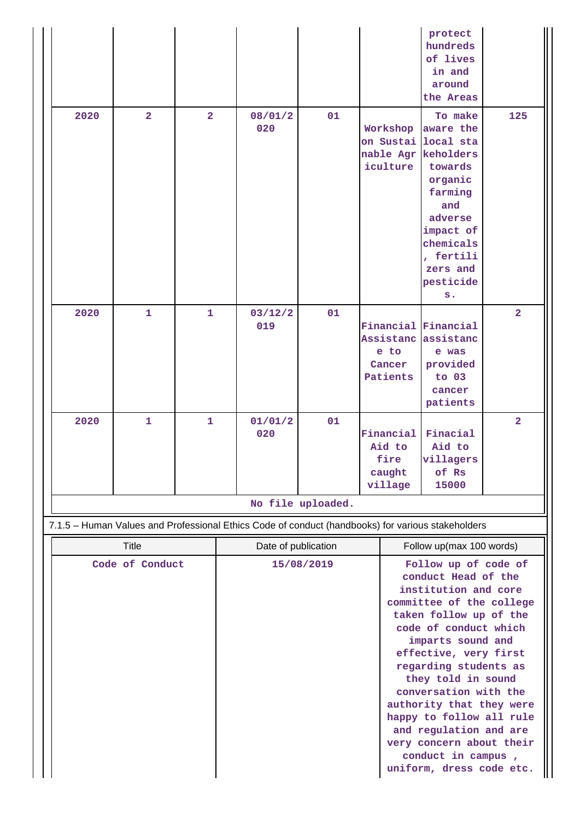|                                                                                                                               |                |                |                     |                   |                                                  |                                                | protect<br>hundreds<br>of lives<br>in and<br>around<br>the Areas                                                                                                                                                                                                                                                                                                                                                                                                     |                |
|-------------------------------------------------------------------------------------------------------------------------------|----------------|----------------|---------------------|-------------------|--------------------------------------------------|------------------------------------------------|----------------------------------------------------------------------------------------------------------------------------------------------------------------------------------------------------------------------------------------------------------------------------------------------------------------------------------------------------------------------------------------------------------------------------------------------------------------------|----------------|
| 2020                                                                                                                          | $\overline{2}$ | $\overline{2}$ | 08/01/2<br>020      | 01                |                                                  | Workshop<br>on Sustai<br>nable Agr<br>iculture | To make<br>aware the<br>local sta<br>keholders<br>towards<br>organic<br>farming<br>and<br>adverse<br>impact of<br>chemicals<br>, fertili<br>zers and<br>pesticide<br>s.                                                                                                                                                                                                                                                                                              | 125            |
| 2020                                                                                                                          | $\mathbf{1}$   | $\mathbf{1}$   | 03/12/2<br>019      | 01                |                                                  | e to<br>Cancer<br>Patients                     | Financial Financial<br>Assistanc assistanc<br>e was<br>provided<br>to 03<br>cancer<br>patients                                                                                                                                                                                                                                                                                                                                                                       | $\overline{2}$ |
| 2020                                                                                                                          | $\mathbf{1}$   | $\mathbf{1}$   | 01/01/2<br>020      | 01                | Financial<br>Aid to<br>fire<br>caught<br>village |                                                | Finacial<br>Aid to<br>villagers<br>of Rs<br>15000                                                                                                                                                                                                                                                                                                                                                                                                                    | $\overline{2}$ |
|                                                                                                                               |                |                |                     | No file uploaded. |                                                  |                                                |                                                                                                                                                                                                                                                                                                                                                                                                                                                                      |                |
|                                                                                                                               |                |                |                     |                   |                                                  |                                                |                                                                                                                                                                                                                                                                                                                                                                                                                                                                      |                |
| 7.1.5 - Human Values and Professional Ethics Code of conduct (handbooks) for various stakeholders<br>Title<br>Code of Conduct |                |                | Date of publication | 15/08/2019        |                                                  |                                                | Follow up(max 100 words)<br>Follow up of code of<br>conduct Head of the<br>institution and core<br>committee of the college<br>taken follow up of the<br>code of conduct which<br>imparts sound and<br>effective, very first<br>regarding students as<br>they told in sound<br>conversation with the<br>authority that they were<br>happy to follow all rule<br>and regulation and are<br>very concern about their<br>conduct in campus,<br>uniform, dress code etc. |                |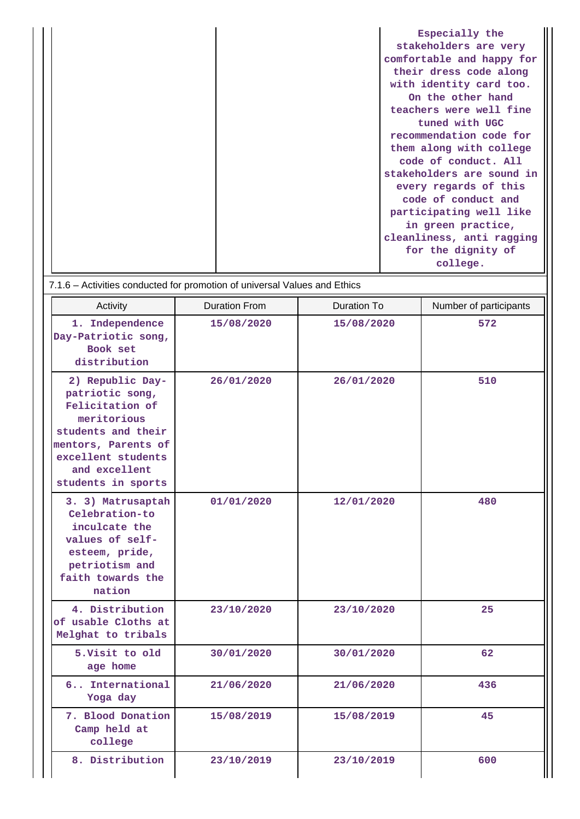|  | Especially the            |
|--|---------------------------|
|  | stakeholders are very     |
|  | comfortable and happy for |
|  | their dress code along    |
|  | with identity card too.   |
|  | On the other hand         |
|  | teachers were well fine   |
|  | tuned with UGC            |
|  | recommendation code for   |
|  | them along with college   |
|  | code of conduct. All      |
|  | stakeholders are sound in |
|  | every regards of this     |
|  | code of conduct and       |
|  | participating well like   |
|  | in green practice,        |
|  | cleanliness, anti ragging |
|  | for the dignity of        |
|  | college.                  |

7.1.6 – Activities conducted for promotion of universal Values and Ethics

| Activity                                                                                                                                                                        | <b>Duration From</b> | <b>Duration To</b> | Number of participants |  |  |
|---------------------------------------------------------------------------------------------------------------------------------------------------------------------------------|----------------------|--------------------|------------------------|--|--|
| 1. Independence<br>Day-Patriotic song,<br>Book set<br>distribution                                                                                                              | 15/08/2020           | 15/08/2020         | 572                    |  |  |
| 2) Republic Day-<br>patriotic song,<br>Felicitation of<br>meritorious<br>students and their<br>mentors, Parents of<br>excellent students<br>and excellent<br>students in sports | 26/01/2020           | 26/01/2020         | 510                    |  |  |
| 3. 3) Matrusaptah<br>Celebration-to<br>inculcate the<br>values of self-<br>esteem, pride,<br>petriotism and<br>faith towards the<br>nation                                      | 01/01/2020           | 12/01/2020         | 480                    |  |  |
| 4. Distribution<br>of usable Cloths at<br>Melghat to tribals                                                                                                                    | 23/10/2020           | 23/10/2020         | 25                     |  |  |
| 5. Visit to old<br>age home                                                                                                                                                     | 30/01/2020           | 30/01/2020         | 62                     |  |  |
| 6 International<br>Yoga day                                                                                                                                                     | 21/06/2020           | 21/06/2020         | 436                    |  |  |
| 7. Blood Donation<br>Camp held at<br>college                                                                                                                                    | 15/08/2019           | 15/08/2019         | 45                     |  |  |
| 8. Distribution                                                                                                                                                                 | 23/10/2019           | 23/10/2019         | 600                    |  |  |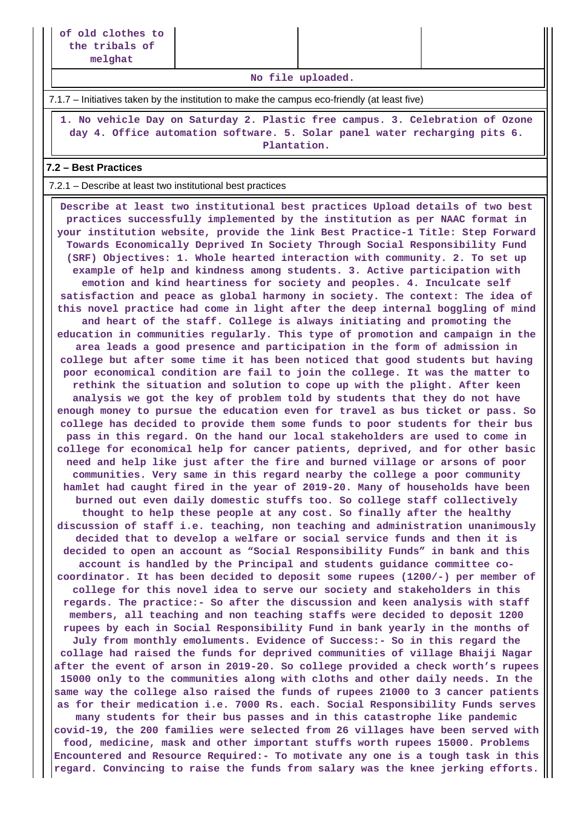**No file uploaded.**

7.1.7 – Initiatives taken by the institution to make the campus eco-friendly (at least five)

 **1. No vehicle Day on Saturday 2. Plastic free campus. 3. Celebration of Ozone day 4. Office automation software. 5. Solar panel water recharging pits 6. Plantation.**

### **7.2 – Best Practices**

7.2.1 – Describe at least two institutional best practices

 **Describe at least two institutional best practices Upload details of two best practices successfully implemented by the institution as per NAAC format in your institution website, provide the link Best Practice-1 Title: Step Forward Towards Economically Deprived In Society Through Social Responsibility Fund (SRF) Objectives: 1. Whole hearted interaction with community. 2. To set up example of help and kindness among students. 3. Active participation with emotion and kind heartiness for society and peoples. 4. Inculcate self satisfaction and peace as global harmony in society. The context: The idea of this novel practice had come in light after the deep internal boggling of mind and heart of the staff. College is always initiating and promoting the education in communities regularly. This type of promotion and campaign in the area leads a good presence and participation in the form of admission in college but after some time it has been noticed that good students but having poor economical condition are fail to join the college. It was the matter to rethink the situation and solution to cope up with the plight. After keen analysis we got the key of problem told by students that they do not have enough money to pursue the education even for travel as bus ticket or pass. So college has decided to provide them some funds to poor students for their bus pass in this regard. On the hand our local stakeholders are used to come in college for economical help for cancer patients, deprived, and for other basic need and help like just after the fire and burned village or arsons of poor communities. Very same in this regard nearby the college a poor community hamlet had caught fired in the year of 2019-20. Many of households have been burned out even daily domestic stuffs too. So college staff collectively thought to help these people at any cost. So finally after the healthy discussion of staff i.e. teaching, non teaching and administration unanimously decided that to develop a welfare or social service funds and then it is decided to open an account as "Social Responsibility Funds" in bank and this account is handled by the Principal and students guidance committee cocoordinator. It has been decided to deposit some rupees (1200/-) per member of college for this novel idea to serve our society and stakeholders in this regards. The practice:- So after the discussion and keen analysis with staff members, all teaching and non teaching staffs were decided to deposit 1200 rupees by each in Social Responsibility Fund in bank yearly in the months of July from monthly emoluments. Evidence of Success:- So in this regard the collage had raised the funds for deprived communities of village Bhaiji Nagar after the event of arson in 2019-20. So college provided a check worth's rupees 15000 only to the communities along with cloths and other daily needs. In the same way the college also raised the funds of rupees 21000 to 3 cancer patients as for their medication i.e. 7000 Rs. each. Social Responsibility Funds serves many students for their bus passes and in this catastrophe like pandemic covid-19, the 200 families were selected from 26 villages have been served with food, medicine, mask and other important stuffs worth rupees 15000. Problems Encountered and Resource Required:- To motivate any one is a tough task in this regard. Convincing to raise the funds from salary was the knee jerking efforts.**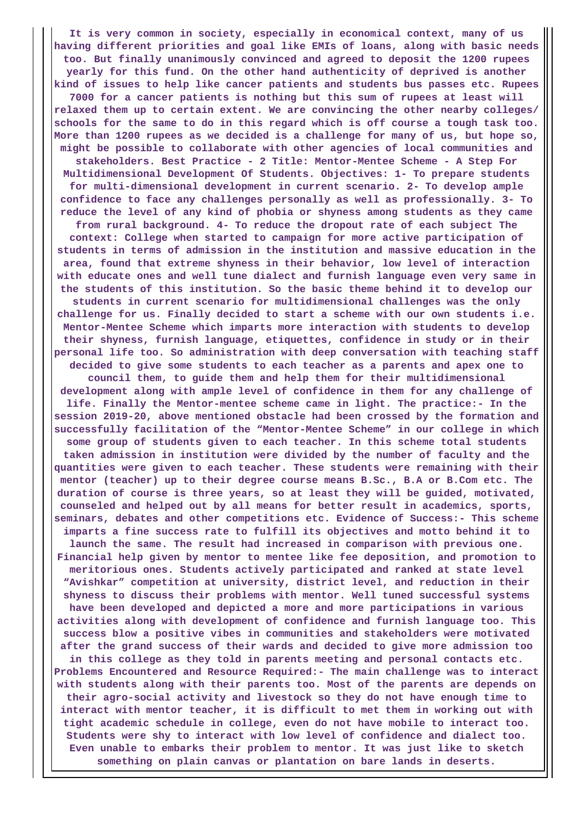**It is very common in society, especially in economical context, many of us having different priorities and goal like EMIs of loans, along with basic needs too. But finally unanimously convinced and agreed to deposit the 1200 rupees yearly for this fund. On the other hand authenticity of deprived is another kind of issues to help like cancer patients and students bus passes etc. Rupees 7000 for a cancer patients is nothing but this sum of rupees at least will relaxed them up to certain extent. We are convincing the other nearby colleges/ schools for the same to do in this regard which is off course a tough task too. More than 1200 rupees as we decided is a challenge for many of us, but hope so, might be possible to collaborate with other agencies of local communities and stakeholders. Best Practice - 2 Title: Mentor-Mentee Scheme - A Step For Multidimensional Development Of Students. Objectives: 1- To prepare students for multi-dimensional development in current scenario. 2- To develop ample confidence to face any challenges personally as well as professionally. 3- To reduce the level of any kind of phobia or shyness among students as they came from rural background. 4- To reduce the dropout rate of each subject The context: College when started to campaign for more active participation of students in terms of admission in the institution and massive education in the area, found that extreme shyness in their behavior, low level of interaction with educate ones and well tune dialect and furnish language even very same in the students of this institution. So the basic theme behind it to develop our students in current scenario for multidimensional challenges was the only challenge for us. Finally decided to start a scheme with our own students i.e. Mentor-Mentee Scheme which imparts more interaction with students to develop their shyness, furnish language, etiquettes, confidence in study or in their personal life too. So administration with deep conversation with teaching staff decided to give some students to each teacher as a parents and apex one to council them, to guide them and help them for their multidimensional development along with ample level of confidence in them for any challenge of life. Finally the Mentor-mentee scheme came in light. The practice:- In the session 2019-20, above mentioned obstacle had been crossed by the formation and successfully facilitation of the "Mentor-Mentee Scheme" in our college in which some group of students given to each teacher. In this scheme total students taken admission in institution were divided by the number of faculty and the quantities were given to each teacher. These students were remaining with their mentor (teacher) up to their degree course means B.Sc., B.A or B.Com etc. The duration of course is three years, so at least they will be guided, motivated, counseled and helped out by all means for better result in academics, sports, seminars, debates and other competitions etc. Evidence of Success:- This scheme imparts a fine success rate to fulfill its objectives and motto behind it to launch the same. The result had increased in comparison with previous one. Financial help given by mentor to mentee like fee deposition, and promotion to meritorious ones. Students actively participated and ranked at state level "Avishkar" competition at university, district level, and reduction in their shyness to discuss their problems with mentor. Well tuned successful systems have been developed and depicted a more and more participations in various activities along with development of confidence and furnish language too. This success blow a positive vibes in communities and stakeholders were motivated after the grand success of their wards and decided to give more admission too in this college as they told in parents meeting and personal contacts etc. Problems Encountered and Resource Required:- The main challenge was to interact with students along with their parents too. Most of the parents are depends on their agro-social activity and livestock so they do not have enough time to interact with mentor teacher, it is difficult to met them in working out with tight academic schedule in college, even do not have mobile to interact too. Students were shy to interact with low level of confidence and dialect too. Even unable to embarks their problem to mentor. It was just like to sketch something on plain canvas or plantation on bare lands in deserts.**